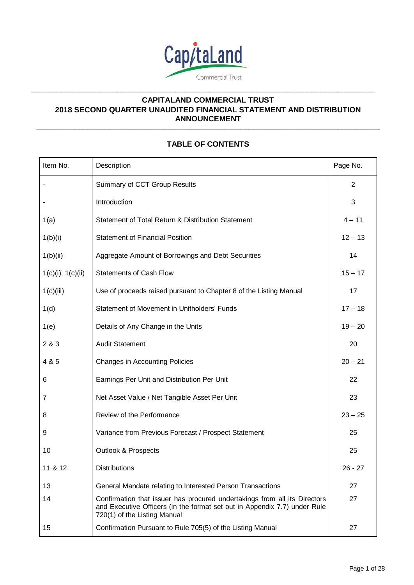

**\_\_\_\_\_\_\_\_\_\_\_\_\_\_\_\_\_\_\_\_\_\_\_\_\_\_\_\_\_\_\_\_\_\_\_\_\_\_\_\_\_\_\_\_\_\_\_\_\_\_\_\_\_\_\_\_\_\_\_\_\_\_\_\_\_\_\_\_\_\_\_\_\_\_\_\_\_\_\_\_\_**

# **CAPITALAND COMMERCIAL TRUST 2018 SECOND QUARTER UNAUDITED FINANCIAL STATEMENT AND DISTRIBUTION ANNOUNCEMENT**

# **TABLE OF CONTENTS**

**\_\_\_\_\_\_\_\_\_\_\_\_\_\_\_\_\_\_\_\_\_\_\_\_\_\_\_\_\_\_\_\_\_\_\_\_\_\_\_\_\_\_\_\_\_\_\_\_\_\_\_\_\_\_\_\_\_\_\_\_\_\_\_\_\_\_\_\_\_\_\_\_\_\_\_\_\_\_\_\_\_\_\_\_\_\_\_\_\_**

| Item No.          | Description                                                                                                                                                                            | Page No.       |
|-------------------|----------------------------------------------------------------------------------------------------------------------------------------------------------------------------------------|----------------|
|                   | Summary of CCT Group Results                                                                                                                                                           | $\overline{2}$ |
|                   | Introduction                                                                                                                                                                           | 3              |
| 1(a)              | Statement of Total Return & Distribution Statement                                                                                                                                     | $4 - 11$       |
| 1(b)(i)           | <b>Statement of Financial Position</b>                                                                                                                                                 | $12 - 13$      |
| 1(b)(ii)          | Aggregate Amount of Borrowings and Debt Securities                                                                                                                                     | 14             |
| 1(c)(i), 1(c)(ii) | <b>Statements of Cash Flow</b>                                                                                                                                                         | $15 - 17$      |
| 1(c)(iii)         | Use of proceeds raised pursuant to Chapter 8 of the Listing Manual                                                                                                                     | 17             |
| 1(d)              | Statement of Movement in Unitholders' Funds                                                                                                                                            | $17 - 18$      |
| 1(e)              | Details of Any Change in the Units                                                                                                                                                     | $19 - 20$      |
| 2 & 3             | <b>Audit Statement</b>                                                                                                                                                                 | 20             |
| 4 & 5             | <b>Changes in Accounting Policies</b>                                                                                                                                                  | $20 - 21$      |
| 6                 | Earnings Per Unit and Distribution Per Unit                                                                                                                                            | 22             |
| 7                 | Net Asset Value / Net Tangible Asset Per Unit                                                                                                                                          | 23             |
| 8                 | Review of the Performance                                                                                                                                                              | $23 - 25$      |
| 9                 | Variance from Previous Forecast / Prospect Statement                                                                                                                                   | 25             |
| 10                | <b>Outlook &amp; Prospects</b>                                                                                                                                                         | 25             |
| 11 & 12           | <b>Distributions</b>                                                                                                                                                                   | $26 - 27$      |
| 13                | General Mandate relating to Interested Person Transactions                                                                                                                             | 27             |
| 14                | Confirmation that issuer has procured undertakings from all its Directors<br>and Executive Officers (in the format set out in Appendix 7.7) under Rule<br>720(1) of the Listing Manual | 27             |
| 15                | Confirmation Pursuant to Rule 705(5) of the Listing Manual                                                                                                                             | 27             |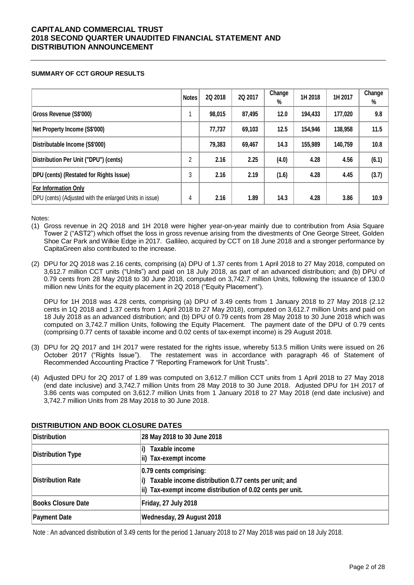### **SUMMARY OF CCT GROUP RESULTS**

|                                                                                        | <b>Notes</b>   | 2Q 2018 | 2Q 2017 | Change<br>% | 1H 2018 | 1H 2017 | Change<br>% |
|----------------------------------------------------------------------------------------|----------------|---------|---------|-------------|---------|---------|-------------|
| Gross Revenue (S\$'000)                                                                |                | 98,015  | 87,495  | 12.0        | 194,433 | 177,020 | 9.8         |
| Net Property Income (S\$'000)                                                          |                | 77,737  | 69,103  | 12.5        | 154,946 | 138,958 | 11.5        |
| Distributable Income (S\$'000)                                                         |                | 79,383  | 69,467  | 14.3        | 155,989 | 140,759 | 10.8        |
| Distribution Per Unit ("DPU") (cents)                                                  | $\overline{2}$ | 2.16    | 2.25    | (4.0)       | 4.28    | 4.56    | (6.1)       |
| DPU (cents) (Restated for Rights Issue)                                                | 3              | 2.16    | 2.19    | (1.6)       | 4.28    | 4.45    | (3.7)       |
| <b>For Information Only</b><br>DPU (cents) (Adjusted with the enlarged Units in issue) | 4              | 2.16    | 1.89    | 14.3        | 4.28    | 3.86    | 10.9        |

Notes:

- (1) Gross revenue in 2Q 2018 and 1H 2018 were higher year-on-year mainly due to contribution from Asia Square Tower 2 ("AST2") which offset the loss in gross revenue arising from the divestments of One George Street, Golden Shoe Car Park and Wilkie Edge in 2017. Gallileo, acquired by CCT on 18 June 2018 and a stronger performance by CapitaGreen also contributed to the increase.
- (2) DPU for 2Q 2018 was 2.16 cents, comprising (a) DPU of 1.37 cents from 1 April 2018 to 27 May 2018, computed on 3,612.7 million CCT units ("Units") and paid on 18 July 2018, as part of an advanced distribution; and (b) DPU of 0.79 cents from 28 May 2018 to 30 June 2018, computed on 3,742.7 million Units, following the issuance of 130.0 million new Units for the equity placement in 2Q 2018 ("Equity Placement").

DPU for 1H 2018 was 4.28 cents, comprising (a) DPU of 3.49 cents from 1 January 2018 to 27 May 2018 (2.12 cents in 1Q 2018 and 1.37 cents from 1 April 2018 to 27 May 2018), computed on 3,612.7 million Units and paid on 18 July 2018 as an advanced distribution; and (b) DPU of 0.79 cents from 28 May 2018 to 30 June 2018 which was computed on 3,742.7 million Units, following the Equity Placement. The payment date of the DPU of 0.79 cents (comprising 0.77 cents of taxable income and 0.02 cents of tax-exempt income) is 29 August 2018.

- (3) DPU for 2Q 2017 and 1H 2017 were restated for the rights issue, whereby 513.5 million Units were issued on 26 October 2017 ("Rights Issue"). The restatement was in accordance with paragraph 46 of Statement of Recommended Accounting Practice 7 "Reporting Framework for Unit Trusts".
- (4) Adjusted DPU for 2Q 2017 of 1.89 was computed on 3,612.7 million CCT units from 1 April 2018 to 27 May 2018 (end date inclusive) and 3,742.7 million Units from 28 May 2018 to 30 June 2018. Adjusted DPU for 1H 2017 of 3.86 cents was computed on 3,612.7 million Units from 1 January 2018 to 27 May 2018 (end date inclusive) and 3,742.7 million Units from 28 May 2018 to 30 June 2018.

| Distribution              | 28 May 2018 to 30 June 2018                                                                                                                  |
|---------------------------|----------------------------------------------------------------------------------------------------------------------------------------------|
| Distribution Type         | Taxable income<br>ii) Tax-exempt income                                                                                                      |
| <b>Distribution Rate</b>  | 0.79 cents comprising:<br>Taxable income distribution 0.77 cents per unit; and<br>ii) Tax-exempt income distribution of 0.02 cents per unit. |
| <b>Books Closure Date</b> | Friday, 27 July 2018                                                                                                                         |
| <b>Payment Date</b>       | Wednesday, 29 August 2018                                                                                                                    |

### **DISTRIBUTION AND BOOK CLOSURE DATES**

Note : An advanced distribution of 3.49 cents for the period 1 January 2018 to 27 May 2018 was paid on 18 July 2018.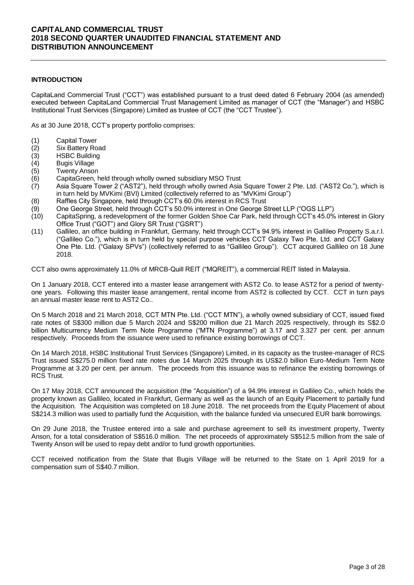### **INTRODUCTION**

CapitaLand Commercial Trust ("CCT") was established pursuant to a trust deed dated 6 February 2004 (as amended) executed between CapitaLand Commercial Trust Management Limited as manager of CCT (the "Manager") and HSBC Institutional Trust Services (Singapore) Limited as trustee of CCT (the "CCT Trustee").

As at 30 June 2018, CCT's property portfolio comprises:

- (1) Capital Tower
- (2) Six Battery Road<br>(3) HSBC Building
- **HSBC Building**
- 
- (4) Bugis Village **Twenty Anson**
- (6) CapitaGreen, held through wholly owned subsidiary MSO Trust
- (7) Asia Square Tower 2 ("AST2"), held through wholly owned Asia Square Tower 2 Pte. Ltd. ("AST2 Co."), which is in turn held by MVKimi (BVI) Limited (collectively referred to as "MVKimi Group")
- (8) Raffles City Singapore, held through CCT's 60.0% interest in RCS Trust
- (9) One George Street, held through CCT's 50.0% interest in One George Street LLP ("OGS LLP")
- (10) CapitaSpring, a redevelopment of the former Golden Shoe Car Park, held through CCT's 45.0% interest in Glory Office Trust ("GOT") and Glory SR Trust ("GSRT")
- (11) Gallileo, an office building in Frankfurt, Germany, held through CCT's 94.9% interest in Gallileo Property S.a.r.l. ("Gallileo Co."), which is in turn held by special purpose vehicles CCT Galaxy Two Pte. Ltd. and CCT Galaxy One Pte. Ltd. ("Galaxy SPVs") (collectively referred to as "Gallileo Group"). CCT acquired Gallileo on 18 June 2018.

CCT also owns approximately 11.0% of MRCB-Quill REIT ("MQREIT"), a commercial REIT listed in Malaysia.

On 1 January 2018, CCT entered into a master lease arrangement with AST2 Co. to lease AST2 for a period of twentyone years. Following this master lease arrangement, rental income from AST2 is collected by CCT. CCT in turn pays an annual master lease rent to AST2 Co..

On 5 March 2018 and 21 March 2018, CCT MTN Pte. Ltd. ("CCT MTN"), a wholly owned subsidiary of CCT, issued fixed rate notes of S\$300 million due 5 March 2024 and S\$200 million due 21 March 2025 respectively, through its S\$2.0 billion Multicurrency Medium Term Note Programme ("MTN Programme") at 3.17 and 3.327 per cent. per annum respectively. Proceeds from the issuance were used to refinance existing borrowings of CCT.

On 14 March 2018, HSBC Institutional Trust Services (Singapore) Limited, in its capacity as the trustee-manager of RCS Trust issued S\$275.0 million fixed rate notes due 14 March 2025 through its US\$2.0 billion Euro-Medium Term Note Programme at 3.20 per cent. per annum. The proceeds from this issuance was to refinance the existing borrowings of RCS Trust.

On 17 May 2018, CCT announced the acquisition (the "Acquisition") of a 94.9% interest in Gallileo Co., which holds the property known as Gallileo, located in Frankfurt, Germany as well as the launch of an Equity Placement to partially fund the Acquisition. The Acquisition was completed on 18 June 2018. The net proceeds from the Equity Placement of about S\$214.3 million was used to partially fund the Acquisition, with the balance funded via unsecured EUR bank borrowings.

On 29 June 2018, the Trustee entered into a sale and purchase agreement to sell its investment property, Twenty Anson, for a total consideration of S\$516.0 million. The net proceeds of approximately S\$512.5 million from the sale of Twenty Anson will be used to repay debt and/or to fund growth opportunities.

CCT received notification from the State that Bugis Village will be returned to the State on 1 April 2019 for a compensation sum of S\$40.7 million.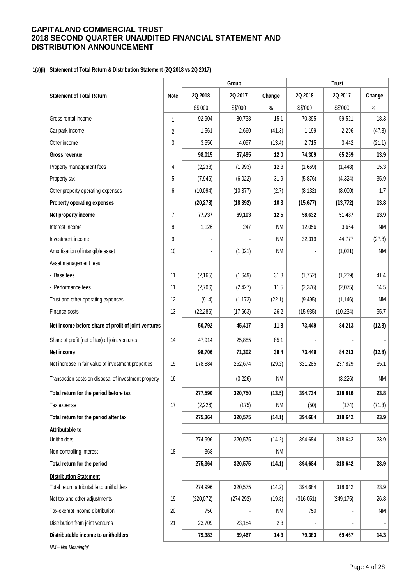#### **1(a)(i) Statement of Total Return & Distribution Statement (2Q 2018 vs 2Q 2017)**

|                                                      |                |            | Group      |           |            | <b>Trust</b> |           |
|------------------------------------------------------|----------------|------------|------------|-----------|------------|--------------|-----------|
| <b>Statement of Total Return</b>                     | Note           | 2Q 2018    | 2Q 2017    | Change    | 2Q 2018    | 20 2017      | Change    |
|                                                      |                | S\$'000    | S\$'000    | $\%$      | S\$'000    | S\$'000      | %         |
| Gross rental income                                  | 1              | 92,904     | 80,738     | 15.1      | 70,395     | 59,521       | 18.3      |
| Car park income                                      | $\overline{c}$ | 1,561      | 2,660      | (41.3)    | 1,199      | 2,296        | (47.8)    |
| Other income                                         | 3              | 3,550      | 4,097      | (13.4)    | 2,715      | 3,442        | (21.1)    |
| Gross revenue                                        |                | 98,015     | 87,495     | 12.0      | 74,309     | 65,259       | 13.9      |
| Property management fees                             | 4              | (2, 238)   | (1,993)    | 12.3      | (1,669)    | (1, 448)     | 15.3      |
| Property tax                                         | 5              | (7, 946)   | (6,022)    | 31.9      | (5,876)    | (4, 324)     | 35.9      |
| Other property operating expenses                    | 6              | (10,094)   | (10, 377)  | (2.7)     | (8, 132)   | (8,000)      | 1.7       |
| Property operating expenses                          |                | (20, 278)  | (18, 392)  | 10.3      | (15, 677)  | (13, 772)    | 13.8      |
| Net property income                                  | 7              | 77,737     | 69,103     | 12.5      | 58,632     | 51,487       | 13.9      |
| Interest income                                      | 8              | 1,126      | 247        | <b>NM</b> | 12,056     | 3,664        | <b>NM</b> |
| Investment income                                    | 9              |            |            | <b>NM</b> | 32,319     | 44,777       | (27.8)    |
| Amortisation of intangible asset                     | 10             |            | (1,021)    | <b>NM</b> |            | (1,021)      | <b>NM</b> |
| Asset management fees:                               |                |            |            |           |            |              |           |
| - Base fees                                          | 11             | (2, 165)   | (1,649)    | 31.3      | (1,752)    | (1, 239)     | 41.4      |
| - Performance fees                                   | 11             | (2,706)    | (2, 427)   | 11.5      | (2,376)    | (2,075)      | 14.5      |
| Trust and other operating expenses                   | 12             | (914)      | (1, 173)   | (22.1)    | (9, 495)   | (1, 146)     | <b>NM</b> |
| Finance costs                                        | 13             | (22, 286)  | (17,663)   | 26.2      | (15, 935)  | (10, 234)    | 55.7      |
| Net income before share of profit of joint ventures  |                | 50,792     | 45,417     | 11.8      | 73,449     | 84,213       | (12.8)    |
| Share of profit (net of tax) of joint ventures       | 14             | 47,914     | 25,885     | 85.1      |            |              |           |
| Net income                                           |                | 98,706     | 71,302     | 38.4      | 73,449     | 84,213       | (12.8)    |
| Net increase in fair value of investment properties  | 15             | 178,884    | 252,674    | (29.2)    | 321,285    | 237,829      | 35.1      |
| Transaction costs on disposal of investment property | 16             |            | (3,226)    | <b>NM</b> |            | (3,226)      | <b>NM</b> |
| Total return for the period before tax               |                | 277,590    | 320,750    | (13.5)    | 394,734    | 318,816      | 23.8      |
| Tax expense                                          | 17             | (2,226)    | (175)      | <b>NM</b> | (50)       | (174)        | (71.3)    |
| Total return for the period after tax                |                | 275,364    | 320,575    | (14.1)    | 394,684    | 318,642      | 23.9      |
| Attributable to                                      |                |            |            |           |            |              |           |
| <b>Unitholders</b>                                   |                | 274,996    | 320,575    | (14.2)    | 394,684    | 318,642      | 23.9      |
| Non-controlling interest                             | 18             | 368        |            | NM        |            |              |           |
| Total return for the period                          |                | 275,364    | 320,575    | (14.1)    | 394,684    | 318,642      | 23.9      |
| <b>Distribution Statement</b>                        |                |            |            |           |            |              |           |
| Total return attributable to unitholders             |                | 274,996    | 320,575    | (14.2)    | 394,684    | 318,642      | 23.9      |
| Net tax and other adjustments                        | 19             | (220, 072) | (274, 292) | (19.8)    | (316, 051) | (249, 175)   | 26.8      |
| Tax-exempt income distribution                       | 20             | 750        |            | <b>NM</b> | 750        |              | <b>NM</b> |
| Distribution from joint ventures                     | 21             | 23,709     | 23,184     | 2.3       |            |              |           |
| Distributable income to unitholders                  |                | 79,383     | 69,467     | 14.3      | 79,383     | 69,467       | 14.3      |
| NM - Not Meaningful                                  |                |            |            |           |            |              |           |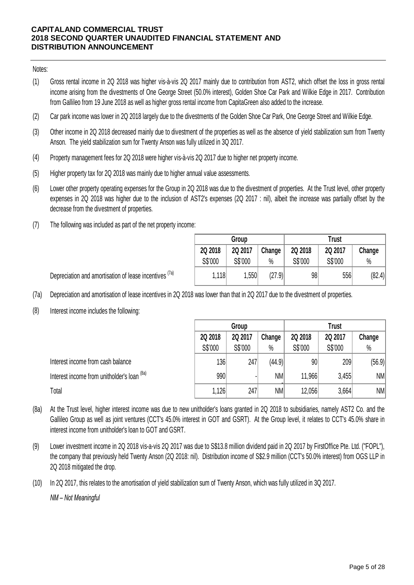## Notes:

- (1) Gross rental income in 2Q 2018 was higher vis-à-vis 2Q 2017 mainly due to contribution from AST2, which offset the loss in gross rental income arising from the divestments of One George Street (50.0% interest), Golden Shoe Car Park and Wilkie Edge in 2017. Contribution from Gallileo from 19 June 2018 as well as higher gross rental income from CapitaGreen also added to the increase.
- (2) Car park income was lower in 2Q 2018 largely due to the divestments of the Golden Shoe Car Park, One George Street and Wilkie Edge.
- (3) Other income in 2Q 2018 decreased mainly due to divestment of the properties as well as the absence of yield stabilization sum from Twenty Anson. The yield stabilization sum for Twenty Anson was fully utilized in 3Q 2017.
- (4) Property management fees for 2Q 2018 were higher vis-à-vis 2Q 2017 due to higher net property income.
- (5) Higher property tax for 2Q 2018 was mainly due to higher annual value assessments.
- (6) Lower other property operating expenses for the Group in 2Q 2018 was due to the divestment of properties. At the Trust level, other property expenses in 2Q 2018 was higher due to the inclusion of AST2's expenses (2Q 2017 : nil), albeit the increase was partially offset by the decrease from the divestment of properties.
- (7) The following was included as part of the net property income:

|         | Group   |        | Trust   |         |        |  |  |
|---------|---------|--------|---------|---------|--------|--|--|
| 2Q 2018 | 2Q 2017 | Change | 2Q 2018 | 2Q 2017 | Change |  |  |
| S\$'000 | S\$'000 | $\%$   | S\$'000 | S\$'000 | $\%$   |  |  |
| 1,118   | 1,550   | (27.9) | 98      | 556     | (82.4) |  |  |

Depreciation and amortisation of lease incentives <sup>(7a)</sup>

- (7a) Depreciation and amortisation of lease incentives in 2Q 2018 was lower than that in 2Q 2017 due to the divestment of properties.
- (8) Interest income includes the following:

|                                                                                                                                          | Group   |         |           | <b>Trust</b> |         |        |  |  |  |
|------------------------------------------------------------------------------------------------------------------------------------------|---------|---------|-----------|--------------|---------|--------|--|--|--|
|                                                                                                                                          | 2Q 2018 | 2Q 2017 | Change    | 2Q 2018      | 2Q 2017 | Change |  |  |  |
|                                                                                                                                          | S\$'000 | S\$'000 | $\%$      | S\$'000      | S\$'000 | $\%$   |  |  |  |
| Interest income from cash balance                                                                                                        | 136     | 247     | (44.9)    | 90           | 209     | (56.9) |  |  |  |
| Interest income from unitholder's loan (8a)                                                                                              | 990     |         | <b>NM</b> | 11,966       | 3,455   | NM     |  |  |  |
| Total                                                                                                                                    | 1,126   | 247     | <b>NM</b> | 12,056       | 3,664   | NM     |  |  |  |
| At the Trust level, higher interest income was due to new unitholder's loans granted in 2Q 2018 to subsidiaries, namely AST2 Co. and the |         |         |           |              |         |        |  |  |  |

- (8a) At the Trust level, higher interest income was due to hew untitioner shoans granted in 2Q 2016 to substdiaries, hamely AS12 Co. and the<br>Gallileo Group as well as joint ventures (CCT's 45.0% interest in GOT and GSRT). At th Total<br>At the Trust level, higher interest income was due to new unitholder's loans granted in 2Q 2018 to subsidiaries, namely AST2 Co. and the<br>Gallileo Group as well as joint ventures (CCT's 45.0% interest in GOT and GSRT) interest income from unitholder's loan to GOT and GSRT.
- (9) Lower investment income in 2Q 2018 vis-a-vis 2Q 2017 was due to S\$13.8 million dividend paid in 2Q 2017 by FirstOffice Pte. Ltd. ("FOPL"), the company that previously held Twenty Anson (2Q 2018: nil). Distribution income o 2Q 2018 mitigated the drop.
- (10) In 2Q 2017, this relates to the amortisation of yield stabilization sum of Twenty Anson, which was fully utilized in 3Q 2017.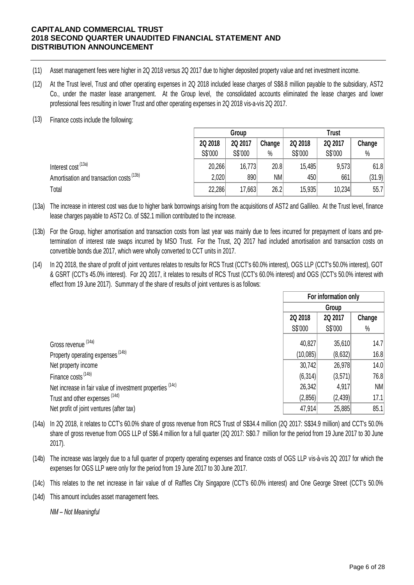- (11) Asset management fees were higher in 2Q 2018 versus 2Q 2017 due to higher deposited property value and net investment income.
- (12) At the Trust level, Trust and other operating expenses in 2Q 2018 included lease charges of S\$8.8 million payable to the subsidiary, AST2 Co., under the master lease arrangement. At the Group level, the consolidated accounts eliminated the lease charges and lower professional fees resulting in lower Trust and other operating expenses in 2Q 2018 vis-a-vis 2Q 2017.
- (13) Finance costs include the following:

|                                                                                                                                                                                                                                     |         | Group   |        |         | <b>Trust</b> |        |  |
|-------------------------------------------------------------------------------------------------------------------------------------------------------------------------------------------------------------------------------------|---------|---------|--------|---------|--------------|--------|--|
|                                                                                                                                                                                                                                     | 2Q 2018 | 2Q 2017 | Change | 2Q 2018 | 2Q 2017      | Change |  |
|                                                                                                                                                                                                                                     | S\$'000 | S\$'000 | $\%$   | S\$'000 | S\$'000      | $\%$   |  |
| Interest cost (13a)                                                                                                                                                                                                                 | 20,266  | 16,773  | 20.8   | 15,485  | 9,573        | 61.8   |  |
| Amortisation and transaction costs <sup>(13b)</sup>                                                                                                                                                                                 | 2,020   | 890     | NM     | 450     | 661          | (31.9) |  |
| Total                                                                                                                                                                                                                               | 22,286  | 17,663  | 26.2   | 15,935  | 10,234       | 55.7   |  |
| The increase in interest cost was due to higher bank borrowings arising from the acquisitions of AST2 and Gallileo. At the Trust level, finance<br>lease charges pavable to AST2 Co. of S\$2.1 million contributed to the increase. |         |         |        |         |              |        |  |

- (13a) lease charges payable to AST2 Co. of S\$2.1 million contributed to the increase.
- (13b) For the Group, higher amortisation and transaction costs from last year was mainly due to fees incurred for prepayment of loans and pretermination of interest rate swaps incurred by MSO Trust. For the Trust, 2Q 2017 had included amortisation and transaction costs on convertible bonds due 2017, which were wholly converted to CCT units in 2017.
- (14) In 2Q 2018, the share of profit of joint ventures relates to results for RCS Trust (CCT's 60.0% interest), OGS LLP (CCT's 50.0% interest), GOT termination of interest rate swaps incurred by MSO Trust. For the Trust, 2Q 2017 had included amortisation and transaction costs on<br>convertible bonds due 2017, which were wholly converted to CCT units in 2017.<br>In 2Q 2018, effect from 19 June 2017). Summary of the share of results of joint ventures is as follows:

|                                                                                                                                                                                                                                                                                            |        | For information only<br>Group<br>2Q 2018<br>2Q 2017<br>S\$'000<br>S\$'000<br>40,827<br>35,610<br>(10,085)<br>(8,632)<br>26,978<br>30,742<br>(6,314)<br>(3, 571)<br>26,342<br>4,917<br>(2,856)<br>(2, 439) |        |  |
|--------------------------------------------------------------------------------------------------------------------------------------------------------------------------------------------------------------------------------------------------------------------------------------------|--------|-----------------------------------------------------------------------------------------------------------------------------------------------------------------------------------------------------------|--------|--|
|                                                                                                                                                                                                                                                                                            |        |                                                                                                                                                                                                           | Change |  |
|                                                                                                                                                                                                                                                                                            |        |                                                                                                                                                                                                           | $\%$   |  |
| Gross revenue (14a)                                                                                                                                                                                                                                                                        |        |                                                                                                                                                                                                           | 14.7   |  |
| Property operating expenses <sup>(14b)</sup>                                                                                                                                                                                                                                               |        |                                                                                                                                                                                                           | 16.8   |  |
| Net property income                                                                                                                                                                                                                                                                        |        |                                                                                                                                                                                                           | 14.0   |  |
| Finance costs <sup>(14b)</sup>                                                                                                                                                                                                                                                             |        |                                                                                                                                                                                                           | 76.8   |  |
| Net increase in fair value of investment properties (14c)                                                                                                                                                                                                                                  |        |                                                                                                                                                                                                           | NM     |  |
| Trust and other expenses (14d)                                                                                                                                                                                                                                                             |        |                                                                                                                                                                                                           | 17.1   |  |
| Net profit of joint ventures (after tax)                                                                                                                                                                                                                                                   | 47,914 | 25,885                                                                                                                                                                                                    | 85.1   |  |
| In 2Q 2018, it relates to CCT's 60.0% share of gross revenue from RCS Trust of S\$34.4 million (2Q 2017: S\$34.9 million) and CCT's 50.0%<br>share of gross revenue from OGS LLP of S\$6.4 million for a full quarter (2Q 2017: S\$0.7 million for the period from 19 June 2017 to 30 June |        |                                                                                                                                                                                                           |        |  |

- (14a) share of gross revenue from OGS LLP of S\$6.4 million for a full quarter (2Q 2017: S\$0.7 million for the period from 19 June 2017 to 30 June 2017).
- (14b) The increase was largely due to a full quarter of property operating expenses and finance costs of OGS LLP vis-à-vis 2Q 2017 for which the expenses for OGS LLP were only for the period from 19 June 2017 to 30 June 2017. The increase was largely due to a full quarter of property operating expenses and finance costs of OGS LLP vis-à-vis 2Q 2017 for which the expenses for OGS LLP were only for the period from 19 June 2017 to 30 June 2017.<br>Th
- (14c) This relates to the net increase in fair value of of Raffles City Singapore (CCT's 60.0% interest) and One George Street (CCT's 50.0%
- (14d) This amount includes asset management fees.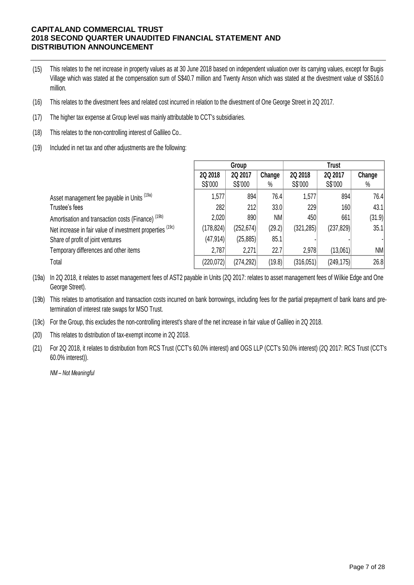- (15) This relates to the net increase in property values as at 30 June 2018 based on independent valuation over its carrying values, except for Bugis Village which was stated at the compensation sum of S\$40.7 million and Twenty Anson which was stated at the divestment value of S\$516.0 million.
- (16) This relates to the divestment fees and related cost incurred in relation to the divestment of One George Street in 2Q 2017.
- (17) The higher tax expense at Group level was mainly attributable to CCT's subsidiaries.
- (18) This relates to the non-controlling interest of Gallileo Co..
- (19) Included in net tax and other adjustments are the following:

|                                                               | Group     |            |           | <b>Trust</b> |            |        |
|---------------------------------------------------------------|-----------|------------|-----------|--------------|------------|--------|
|                                                               | 2Q 2018   | 2Q 2017    | Change    | 2Q 2018      | 2Q 2017    | Change |
|                                                               | S\$'000   | S\$'000    | $\%$      | S\$'000      | S\$'000    | $\%$   |
| Asset management fee payable in Units (19a)                   | 1,577     | 894        | 76.4      | 1,577        | 894        | 76.4   |
| Trustee's fees                                                | 282       | 212        | 33.0      | 229          | 160        | 43.1   |
| Amortisation and transaction costs (Finance) <sup>(19b)</sup> | 2,020     | 890        | <b>NM</b> | 450          | 661        | (31.9) |
| Net increase in fair value of investment properties (19c)     | (178,824) | (252, 674) | (29.2)    | (321, 285)   | (237, 829) | 35.1   |
| Share of profit of joint ventures                             | (47, 914) | (25, 885)  | 85.1      |              |            |        |
| Temporary differences and other items                         | 2,787     | 2,271      | 22.7      | 2,978        | (13,061)   | NM     |
| Total                                                         | (220,072) | (274, 292) | (19.8)    | (316,051)    | (249, 175) | 26.8   |

(19a) In 2Q 2018, it relates to asset management fees of AST2 payable in Units (2Q 2017: relates to asset management fees of Wilkie Edge and One George Street).

(19b) This relates to amortisation and transaction costs incurred on bank borrowings, including fees for the partial prepayment of bank loans and pretermination of interest rate swaps for MSO Trust.

- (19c) For the Group, this excludes the non-controlling interest's share of the net increase in fair value of Gallileo in 2Q 2018.
- (20) This relates to distribution of tax-exempt income in 2Q 2018.
- (21) For 2Q 2018, it relates to distribution from RCS Trust (CCT's 60.0% interest) and OGS LLP (CCT's 50.0% interest) (2Q 2017: RCS Trust (CCT's 60.0% interest)).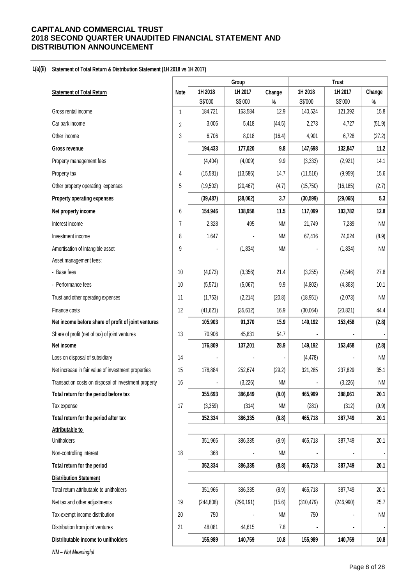#### **1(a)(ii) Statement of Total Return & Distribution Statement (1H 2018 vs 1H 2017)**

|                                                      |                | Group              |                  | <b>Trust</b> |                    |                    |              |
|------------------------------------------------------|----------------|--------------------|------------------|--------------|--------------------|--------------------|--------------|
| <b>Statement of Total Return</b>                     | Note           | 1H 2018            | 1H 2017          | Change       | 1H 2018            | 1H 2017            | Change       |
| Gross rental income                                  |                | S\$'000<br>184,721 | S\$'000          | $\%$<br>12.9 | S\$'000<br>140,524 | S\$'000<br>121,392 | $\%$<br>15.8 |
| Car park income                                      | 1              | 3,006              | 163,584<br>5,418 | (44.5)       | 2,273              | 4,727              | (51.9)       |
|                                                      | $\overline{c}$ |                    |                  |              |                    |                    |              |
| Other income                                         | 3              | 6,706              | 8,018            | (16.4)       | 4,901              | 6,728              | (27.2)       |
| Gross revenue                                        |                | 194,433            | 177,020          | 9.8          | 147,698            | 132,847            | 11.2         |
| Property management fees                             |                | (4, 404)           | (4,009)          | 9.9          | (3, 333)           | (2,921)            | 14.1         |
| Property tax                                         | 4              | (15,581)           | (13,586)         | 14.7         | (11, 516)          | (9,959)            | 15.6         |
| Other property operating expenses                    | 5              | (19,502)           | (20, 467)        | (4.7)        | (15, 750)          | (16, 185)          | (2.7)        |
| Property operating expenses                          |                | (39, 487)          | (38,062)         | 3.7          | (30, 599)          | (29,065)           | 5.3          |
| Net property income                                  | 6              | 154,946            | 138,958          | 11.5         | 117,099            | 103,782            | 12.8         |
| Interest income                                      | 7              | 2,328              | 495              | NM           | 21,749             | 7,289              | <b>NM</b>    |
| Investment income                                    | 8              | 1,647              |                  | NM           | 67,416             | 74,024             | (8.9)        |
| Amortisation of intangible asset                     | 9              |                    | (1,834)          | NM           |                    | (1, 834)           | <b>NM</b>    |
| Asset management fees:                               |                |                    |                  |              |                    |                    |              |
| - Base fees                                          | 10             | (4,073)            | (3,356)          | 21.4         | (3,255)            | (2, 546)           | 27.8         |
| - Performance fees                                   | 10             | (5,571)            | (5,067)          | 9.9          | (4,802)            | (4, 363)           | 10.1         |
| Trust and other operating expenses                   | 11             | (1,753)            | (2, 214)         | (20.8)       | (18, 951)          | (2,073)            | <b>NM</b>    |
| Finance costs                                        | 12             | (41, 621)          | (35, 612)        | 16.9         | (30,064)           | (20, 821)          | 44.4         |
| Net income before share of profit of joint ventures  |                | 105,903            | 91,370           | 15.9         | 149,192            | 153,458            | (2.8)        |
| Share of profit (net of tax) of joint ventures       | 13             | 70,906             | 45,831           | 54.7         |                    |                    |              |
| Net income                                           |                | 176,809            | 137,201          | 28.9         | 149,192            | 153,458            | (2.8)        |
| Loss on disposal of subsidiary                       | 14             |                    |                  |              | (4, 478)           |                    | <b>NM</b>    |
| Net increase in fair value of investment properties  | 15             | 178,884            | 252,674          | (29.2)       | 321,285            | 237,829            | 35.1         |
| Transaction costs on disposal of investment property | 16             |                    | (3,226)          | <b>NM</b>    |                    | (3,226)            | NM           |
| Total return for the period before tax               |                | 355,693            | 386,649          | (8.0)        | 465,999            | 388,061            | 20.1         |
| Tax expense                                          | 17             | (3,359)            | (314)            | <b>NM</b>    | (281)              | (312)              | (9.9)        |
| Total return for the period after tax                |                | 352,334            | 386,335          | (8.8)        | 465,718            | 387,749            | 20.1         |
| Attributable to                                      |                |                    |                  |              |                    |                    |              |
| <b>Unitholders</b>                                   |                | 351,966            | 386,335          | (8.9)        | 465,718            | 387,749            | 20.1         |
| Non-controlling interest                             | 18             | 368                |                  | NM           |                    |                    |              |
| Total return for the period                          |                | 352,334            | 386,335          | (8.8)        | 465,718            | 387,749            | 20.1         |
| <b>Distribution Statement</b>                        |                |                    |                  |              |                    |                    |              |
| Total return attributable to unitholders             |                | 351,966            | 386,335          | (8.9)        | 465,718            | 387,749            | 20.1         |
| Net tax and other adjustments                        | 19             | (244, 808)         | (290, 191)       | (15.6)       | (310, 479)         | (246,990)          | 25.7         |
| Tax-exempt income distribution                       | 20             | 750                |                  | NM           | 750                |                    | <b>NM</b>    |
| Distribution from joint ventures                     | 21             | 48,081             | 44,615           | 7.8          |                    |                    |              |
| Distributable income to unitholders                  |                | 155,989            | 140,759          | 10.8         | 155,989            | 140,759            | 10.8         |
| NM-Not Meaningful                                    |                |                    |                  |              |                    |                    |              |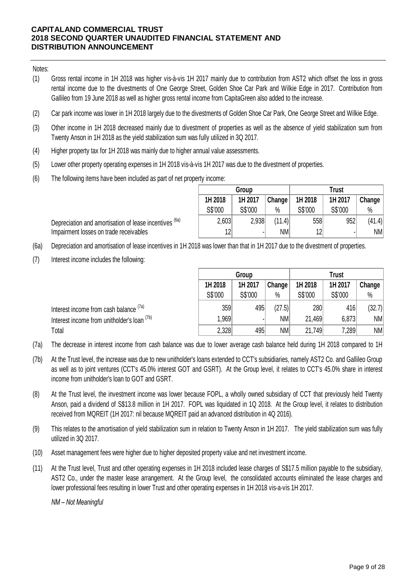Notes:

- (1) Gross rental income in 1H 2018 was higher vis-à-vis 1H 2017 mainly due to contribution from AST2 which offset the loss in gross rental income due to the divestments of One George Street, Golden Shoe Car Park and Wilkie Edge in 2017. Contribution from Gallileo from 19 June 2018 as well as higher gross rental income from CapitaGreen also added to the increase.
- (2) Car park income was lower in 1H 2018 largely due to the divestments of Golden Shoe Car Park, One George Street and Wilkie Edge.
- (3) Other income in 1H 2018 decreased mainly due to divestment of properties as well as the absence of yield stabilization sum from Twenty Anson in 1H 2018 as the yield stabilization sum was fully utilized in 3Q 2017.
- (4) Higher property tax for 1H 2018 was mainly due to higher annual value assessments.
- (5) Lower other property operating expenses in 1H 2018 vis-à-vis 1H 2017 was due to the divestment of properties.
- (6) The following items have been included as part of net property income:

|                 | Group   |        |                 | Trust   |        |
|-----------------|---------|--------|-----------------|---------|--------|
| 1H 2018         | 1H 2017 | Change | 1H 2018         | 1H 2017 | Change |
| S\$'000         | S\$'000 | $\%$   | S\$'000         | S\$'000 | %      |
| 2,603           | 2,938   | (11.4) | 558             | 952     | (41.4) |
| 12 <sup>1</sup> | ۰       | NM     | 12 <sup>1</sup> | ٠       | NM     |

Depreciation and amortisation of lease incentives <sup>(6a)</sup> Impairment losses on trade receivables

- (6a) Depreciation and amortisation of lease incentives in 1H 2018 was lower than that in 1H 2017 due to the divestment of properties.
- (7) Interest income includes the following:

|                                             | Group   |         |        | Trust   |         |        |  |
|---------------------------------------------|---------|---------|--------|---------|---------|--------|--|
|                                             | 1H 2018 | 1H 2017 | Change | 1H 2018 | 1H 2017 | Change |  |
|                                             | S\$'000 | S\$'000 | $\%$   | S\$'000 | S\$'000 | %      |  |
| Interest income from cash balance (7a)      | 359     | 495     | (27.5) | 280     | 416     | (32.7) |  |
| Interest income from unitholder's loan (7b) | 1,969   |         | NМ     | 21,469  | 6,873   | NM     |  |
| Total                                       | 2,328   | 495     | NM     | 21,749  | 7,289   | NM     |  |

(7a) The decrease in interest income from cash balance was due to lower average cash balance held during 1H 2018 compared to 1H

- (7b) At the Trust level, the increase was due to new unitholder's loans extended to CCT's subsidiaries, namely AST2 Co. and Gallileo Group as well as to joint ventures (CCT's 45.0% interest GOT and GSRT). At the Group level, it relates to CCT's 45.0% share in interest income from unitholder's loan to GOT and GSRT.
- (8) At the Trust level, the investment income was lower because FOPL, a wholly owned subsidiary of CCT that previously held Twenty Anson, paid a dividend of S\$13.8 million in 1H 2017. FOPL was liquidated in 1Q 2018. At the Group level, it relates to distribution received from MQREIT (1H 2017: nil because MQREIT paid an advanced distribution in 4Q 2016).
- (9) This relates to the amortisation of yield stabilization sum in relation to Twenty Anson in 1H 2017. The yield stabilization sum was fully utilized in 3Q 2017.
- (10) Asset management fees were higher due to higher deposited property value and net investment income.
- (11) At the Trust level, Trust and other operating expenses in 1H 2018 included lease charges of S\$17.5 million payable to the subsidiary, AST2 Co., under the master lease arrangement. At the Group level, the consolidated accounts eliminated the lease charges and lower professional fees resulting in lower Trust and other operating expenses in 1H 2018 vis-a-vis 1H 2017.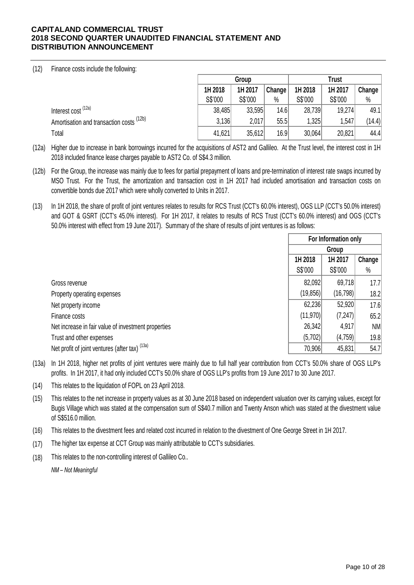# (12) Finance costs include the following:

|                                                     | Group   |         |        | Trust   |         |        |  |
|-----------------------------------------------------|---------|---------|--------|---------|---------|--------|--|
|                                                     | 1H 2018 | 1H 2017 | Change | 1H 2018 | 1H 2017 | Change |  |
|                                                     | S\$'000 | S\$'000 | $\%$   | S\$'000 | S\$'000 | $\%$   |  |
| Interest cost <sup>(12a)</sup>                      | 38,485  | 33,595  | 14.6   | 28,739  | 19,274  | 49.1   |  |
| Amortisation and transaction costs <sup>(12b)</sup> | 3,136   | 2,017   | 55.5   | 1,325   | 1,547   | (14.4) |  |
| Total                                               | 41,621  | 35,612  | 16.9   | 30,064  | 20,821  | 44.4   |  |

(12a) Higher due to increase in bank borrowings incurred for the acquisitions of AST2 and Gallileo. At the Trust level, the interest cost in 1H 2018 included finance lease charges payable to AST2 Co. of S\$4.3 million.

- (12b) For the Group, the increase was mainly due to fees for partial prepayment of loans and pre-termination of interest rate swaps incurred by MSO Trust. For the Trust, the amortization and transaction cost in 1H 2017 had included amortisation and transaction costs on convertible bonds due 2017 which were wholly converted to Units in 2017.
- (13) In 1H 2018, the share of profit of joint ventures relates to results for RCS Trust (CCT's 60.0% interest), OGS LLP (CCT's 50.0% interest) and GOT & GSRT (CCT's 45.0% interest). For 1H 2017, it relates to results of RCS Trust (CCT's 60.0% interest) and OGS (CCT's 50.0% interest with effect from 19 June 2017). Summary of the share of results of joint ventures is as follows:

|                                                     | For Information only         |           |      |  |  |
|-----------------------------------------------------|------------------------------|-----------|------|--|--|
|                                                     |                              | Group     |      |  |  |
|                                                     | Change<br>1H 2018<br>1H 2017 |           |      |  |  |
|                                                     | S\$'000                      | S\$'000   | %    |  |  |
| Gross revenue                                       | 82,092                       | 69,718    | 17.7 |  |  |
| Property operating expenses                         | (19, 856)                    | (16, 798) | 18.2 |  |  |
| Net property income                                 | 62,236                       | 52,920    | 17.6 |  |  |
| Finance costs                                       | (11, 970)                    | (7, 247)  | 65.2 |  |  |
| Net increase in fair value of investment properties | 26,342                       | 4,917     | NM   |  |  |
| Trust and other expenses                            | (5,702)                      | (4, 759)  | 19.8 |  |  |
| Net profit of joint ventures (after tax) (13a)      | 70,906                       | 45,831    | 54.7 |  |  |

- (13a) In 1H 2018, higher net profits of joint ventures were mainly due to full half year contribution from CCT's 50.0% share of OGS LLP's profits. In 1H 2017, it had only included CCT's 50.0% share of OGS LLP's profits from 19 June 2017 to 30 June 2017.
- (14) This relates to the liquidation of FOPL on 23 April 2018.
- (15) This relates to the net increase in property values as at 30 June 2018 based on independent valuation over its carrying values, except for Bugis Village which was stated at the compensation sum of S\$40.7 million and Twenty Anson which was stated at the divestment value of S\$516.0 million.
- (16) This relates to the divestment fees and related cost incurred in relation to the divestment of One George Street in 1H 2017.
- (17) The higher tax expense at CCT Group was mainly attributable to CCT's subsidiaries.
- (18) This relates to the non-controlling interest of Gallileo Co..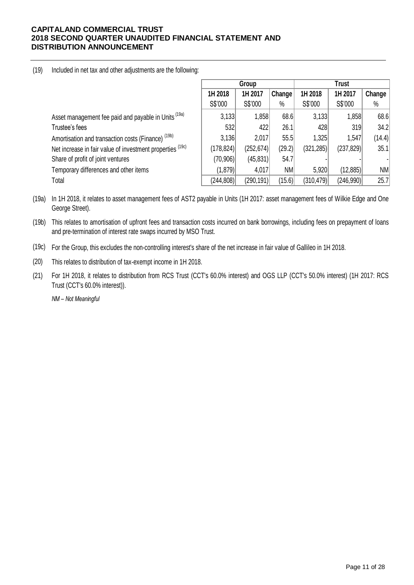# (19) Included in net tax and other adjustments are the following:

|                                                                 |            | Group      |        |            | <b>Trust</b> |        |  |
|-----------------------------------------------------------------|------------|------------|--------|------------|--------------|--------|--|
|                                                                 | 1H 2018    | 1H 2017    | Change | 1H 2018    | 1H 2017      | Change |  |
|                                                                 | S\$'000    | S\$'000    | $\%$   | S\$'000    | S\$'000      | $\%$   |  |
| Asset management fee paid and payable in Units <sup>(19a)</sup> | 3,133      | 1,858      | 68.6   | 3,133      | 1,858        | 68.6   |  |
| Trustee's fees                                                  | 532        | 422        | 26.1   | 428        | 319          | 34.2   |  |
| Amortisation and transaction costs (Finance) <sup>(19b)</sup>   | 3,136      | 2,017      | 55.5   | 1,325      | 1,547        | (14.4) |  |
| Net increase in fair value of investment properties (19c)       | (178, 824) | (252, 674) | (29.2) | (321, 285) | (237,829)    | 35.1   |  |
| Share of profit of joint ventures                               | (70,906)   | (45, 831)  | 54.7   |            |              |        |  |
| Temporary differences and other items                           | (1,879)    | 4,017      | NM     | 5,920      | (12,885)     | NM     |  |
| Total                                                           | (244, 808) | (290, 191) | (15.6) | (310, 479) | (246,990)    | 25.7   |  |

(19a) In 1H 2018, it relates to asset management fees of AST2 payable in Units (1H 2017: asset management fees of Wilkie Edge and One George Street).

(19b) This relates to amortisation of upfront fees and transaction costs incurred on bank borrowings, including fees on prepayment of loans and pre-termination of interest rate swaps incurred by MSO Trust.

(19c) For the Group, this excludes the non-controlling interest's share of the net increase in fair value of Gallileo in 1H 2018.

(20) This relates to distribution of tax-exempt income in 1H 2018.

(21) For 1H 2018, it relates to distribution from RCS Trust (CCT's 60.0% interest) and OGS LLP (CCT's 50.0% interest) (1H 2017: RCS Trust (CCT's 60.0% interest)).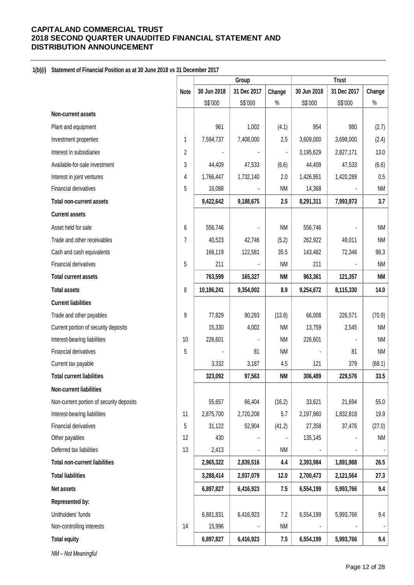# **1(b)(i) Statement of Financial Position as at 30 June 2018 vs 31 December 2017**

|                                          |             | Group       |             | <b>Trust</b>   |             |             |           |
|------------------------------------------|-------------|-------------|-------------|----------------|-------------|-------------|-----------|
|                                          | <b>Note</b> | 30 Jun 2018 | 31 Dec 2017 | Change         | 30 Jun 2018 | 31 Dec 2017 | Change    |
|                                          |             | S\$'000     | S\$'000     | $\%$           | S\$'000     | S\$'000     | $\%$      |
| Non-current assets                       |             |             |             |                |             |             |           |
| Plant and equipment                      |             | 961         | 1,002       | (4.1)          | 954         | 980         | (2.7)     |
| Investment properties                    | 1           | 7,594,737   | 7,408,000   | 2.5            | 3,609,000   | 3,698,000   | (2.4)     |
| Interest in subsidiaries                 | 2           |             |             | $\blacksquare$ | 3,195,629   | 2,827,171   | 13.0      |
| Available-for-sale investment            | 3           | 44,409      | 47,533      | (6.6)          | 44,409      | 47,533      | (6.6)     |
| Interest in joint ventures               | 4           | 1,766,447   | 1,732,140   | 2.0            | 1,426,951   | 1,420,289   | 0.5       |
| Financial derivatives                    | 5           | 16,088      |             | <b>NM</b>      | 14,368      |             | <b>NM</b> |
| <b>Total non-current assets</b>          |             | 9,422,642   | 9,188,675   | 2.5            | 8,291,311   | 7,993,973   | 3.7       |
| <b>Current assets</b>                    |             |             |             |                |             |             |           |
| Asset held for sale                      | 6           | 556,746     |             | <b>NM</b>      | 556,746     |             | <b>NM</b> |
| Trade and other receivables              | 7           | 40,523      | 42,746      | (5.2)          | 262,922     | 49,011      | <b>NM</b> |
| Cash and cash equivalents                |             | 166,119     | 122,581     | 35.5           | 143,482     | 72,346      | 98.3      |
| <b>Financial derivatives</b>             | 5           | 211         |             | <b>NM</b>      | 211         |             | <b>NM</b> |
| <b>Total current assets</b>              |             | 763,599     | 165,327     | NΜ             | 963,361     | 121,357     | <b>NM</b> |
| <b>Total assets</b>                      | 8           | 10,186,241  | 9,354,002   | 8.9            | 9,254,672   | 8,115,330   | 14.0      |
| <b>Current liabilities</b>               |             |             |             |                |             |             |           |
| Trade and other payables                 | 9           | 77,829      | 90,293      | (13.8)         | 66,008      | 226,571     | (70.9)    |
| Current portion of security deposits     |             | 15,330      | 4,002       | <b>NM</b>      | 13,759      | 2,545       | <b>NM</b> |
| Interest-bearing liabilities             | 10          | 226,601     |             | <b>NM</b>      | 226,601     |             | <b>NM</b> |
| Financial derivatives                    | 5           |             | 81          | <b>NM</b>      |             | 81          | <b>NM</b> |
| Current tax payable                      |             | 3,332       | 3,187       | 4.5            | 121         | 379         | (68.1)    |
| <b>Total current liabilities</b>         |             | 323,092     | 97,563      | <b>NM</b>      | 306,489     | 229,576     | 33.5      |
| Non-current liabilities                  |             |             |             |                |             |             |           |
| Non-current portion of security deposits |             | 55,657      | 66,404      | (16.2)         | 33,621      | 21,694      | 55.0      |
| Interest-bearing liabilities             | 11          | 2,875,700   | 2,720,208   | 5.7            | 2,197,860   | 1,832,818   | 19.9      |
| Financial derivatives                    | 5           | 31,122      | 52,904      | (41.2)         | 27,358      | 37,476      | (27.0)    |
| Other payables                           | 12          | 430         |             |                | 135,145     |             | <b>NM</b> |
| Deferred tax liabilities                 | 13          | 2,413       |             | <b>NM</b>      |             |             |           |
| <b>Total non-current liabilities</b>     |             | 2,965,322   | 2,839,516   | 4.4            | 2,393,984   | 1,891,988   | 26.5      |
| <b>Total liabilities</b>                 |             | 3,288,414   | 2,937,079   | 12.0           | 2,700,473   | 2,121,564   | 27.3      |
| Net assets                               |             | 6,897,827   | 6,416,923   | 7.5            | 6,554,199   | 5,993,766   | 9.4       |
| Represented by:                          |             |             |             |                |             |             |           |
| Unitholders' funds                       |             | 6,881,831   | 6,416,923   | 7.2            | 6,554,199   | 5,993,766   | 9.4       |
| Non-controlling interests                | 14          | 15,996      |             | <b>NM</b>      |             |             |           |
| <b>Total equity</b>                      |             | 6,897,827   | 6,416,923   | 7.5            | 6,554,199   | 5,993,766   | 9.4       |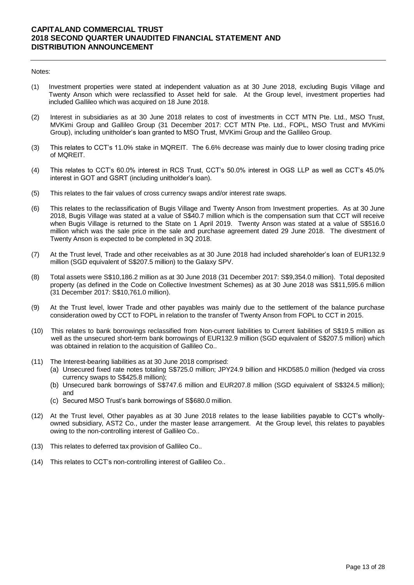- (1) Investment properties were stated at independent valuation as at 30 June 2018, excluding Bugis Village and Twenty Anson which were reclassified to Asset held for sale. At the Group level, investment properties had included Gallileo which was acquired on 18 June 2018.
- (2) Interest in subsidiaries as at 30 June 2018 relates to cost of investments in CCT MTN Pte. Ltd., MSO Trust, MVKimi Group and Gallileo Group (31 December 2017: CCT MTN Pte. Ltd., FOPL, MSO Trust and MVKimi Group), including unitholder's loan granted to MSO Trust, MVKimi Group and the Gallileo Group.
- (3) This relates to CCT's 11.0% stake in MQREIT. The 6.6% decrease was mainly due to lower closing trading price of MQREIT.
- (4) This relates to CCT's 60.0% interest in RCS Trust, CCT's 50.0% interest in OGS LLP as well as CCT's 45.0% interest in GOT and GSRT (including unitholder's loan).
- (5) This relates to the fair values of cross currency swaps and/or interest rate swaps.
- (6) This relates to the reclassification of Bugis Village and Twenty Anson from Investment properties. As at 30 June 2018, Bugis Village was stated at a value of S\$40.7 million which is the compensation sum that CCT will receive when Bugis Village is returned to the State on 1 April 2019. Twenty Anson was stated at a value of S\$516.0 million which was the sale price in the sale and purchase agreement dated 29 June 2018. The divestment of Twenty Anson is expected to be completed in 3Q 2018.
- (7) At the Trust level, Trade and other receivables as at 30 June 2018 had included shareholder's loan of EUR132.9 million (SGD equivalent of S\$207.5 million) to the Galaxy SPV.
- (8) Total assets were S\$10,186.2 million as at 30 June 2018 (31 December 2017: S\$9,354.0 million). Total deposited property (as defined in the Code on Collective Investment Schemes) as at 30 June 2018 was S\$11,595.6 million (31 December 2017: S\$10,761.0 million).
- (9) At the Trust level, lower Trade and other payables was mainly due to the settlement of the balance purchase consideration owed by CCT to FOPL in relation to the transfer of Twenty Anson from FOPL to CCT in 2015.
- (10) This relates to bank borrowings reclassified from Non-current liabilities to Current liabilities of S\$19.5 million as well as the unsecured short-term bank borrowings of EUR132.9 million (SGD equivalent of S\$207.5 million) which was obtained in relation to the acquisition of Gallileo Co..
- (11) The Interest-bearing liabilities as at 30 June 2018 comprised:
	- (a) Unsecured fixed rate notes totaling S\$725.0 million; JPY24.9 billion and HKD585.0 million (hedged via cross currency swaps to S\$425.8 million);
	- (b) Unsecured bank borrowings of S\$747.6 million and EUR207.8 million (SGD equivalent of S\$324.5 million); and
	- (c) Secured MSO Trust's bank borrowings of S\$680.0 million.
- (12) At the Trust level, Other payables as at 30 June 2018 relates to the lease liabilities payable to CCT's whollyowned subsidiary, AST2 Co., under the master lease arrangement. At the Group level, this relates to payables owing to the non-controlling interest of Gallileo Co..
- (13) This relates to deferred tax provision of Gallileo Co..
- (14) This relates to CCT's non-controlling interest of Gallileo Co..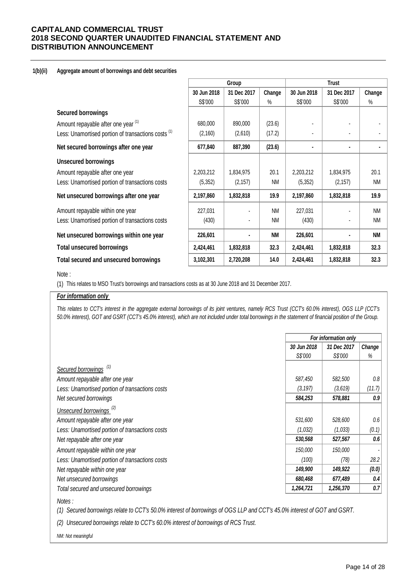### **1(b)(ii) Aggregate amount of borrowings and debt securities**

|                                                     |             | Group       |           |             | <b>Trust</b> |           |  |
|-----------------------------------------------------|-------------|-------------|-----------|-------------|--------------|-----------|--|
|                                                     | 30 Jun 2018 | 31 Dec 2017 | Change    | 30 Jun 2018 | 31 Dec 2017  | Change    |  |
|                                                     | S\$'000     | S\$'000     | $\%$      | S\$'000     | S\$'000      | %         |  |
| <b>Secured borrowings</b>                           |             |             |           |             |              |           |  |
| Amount repayable after one year (1)                 | 680,000     | 890,000     | (23.6)    |             |              |           |  |
| Less: Unamortised portion of transactions costs (1) | (2, 160)    | (2,610)     | (17.2)    |             |              |           |  |
| Net secured borrowings after one year               | 677,840     | 887,390     | (23.6)    | ٠           |              |           |  |
| <b>Unsecured borrowings</b>                         |             |             |           |             |              |           |  |
| Amount repayable after one year                     | 2,203,212   | 1,834,975   | 20.1      | 2,203,212   | 1,834,975    | 20.1      |  |
| Less: Unamortised portion of transactions costs     | (5,352)     | (2, 157)    | <b>NM</b> | (5, 352)    | (2, 157)     | <b>NM</b> |  |
| Net unsecured borrowings after one year             | 2,197,860   | 1,832,818   | 19.9      | 2,197,860   | 1,832,818    | 19.9      |  |
| Amount repayable within one year                    | 227,031     |             | <b>NM</b> | 227,031     |              | <b>NM</b> |  |
| Less: Unamortised portion of transactions costs     | (430)       |             | <b>NM</b> | (430)       |              | <b>NM</b> |  |
| Net unsecured borrowings within one year            | 226,601     |             | <b>NM</b> | 226,601     |              | <b>NM</b> |  |
| <b>Total unsecured borrowings</b>                   | 2,424,461   | 1,832,818   | 32.3      | 2,424,461   | 1,832,818    | 32.3      |  |
| Total secured and unsecured borrowings              | 3,102,301   | 2,720,208   | 14.0      | 2,424,461   | 1,832,818    | 32.3      |  |

### Note :

(1) This relates to MSO Trust's borrowings and transactions costs as at 30 June 2018 and 31 December 2017.

### *For information only*

This relates to CCT's interest in the aggregate external borrowings of its joint ventures, namely RCS Trust (CCT's 60.0% interest), OGS LLP (CCT's *50.0% interest), GOT and GSRT (CCT's 45.0% interest), which are not included under total borrowings in the statement of financial position of the Group.*

|                                                 | For information only |             |        |  |
|-------------------------------------------------|----------------------|-------------|--------|--|
|                                                 | 30 Jun 2018          | 31 Dec 2017 | Change |  |
|                                                 | S\$'000              | S\$'000     | %      |  |
| Secured borrowings <sup>(1)</sup>               |                      |             |        |  |
| Amount repayable after one year                 | 587,450              | 582,500     | 0.8    |  |
| Less: Unamortised portion of transactions costs | (3, 197)             | (3,619)     | (11.7) |  |
| Net secured borrowings                          | 584,253              | 578,881     | 0.9    |  |
| Unsecured borrowings <sup>(2)</sup>             |                      |             |        |  |
| Amount repayable after one year                 | 531,600              | 528,600     | 0.6    |  |
| Less: Unamortised portion of transactions costs | (1,032)              | (1,033)     | (0.1)  |  |
| Net repayable after one year                    | 530,568              | 527,567     | 0.6    |  |
| Amount repayable within one year                | 150,000              | 150,000     |        |  |
| Less: Unamortised portion of transactions costs | (100)                | (78)        | 28.2   |  |
| Net repayable within one year                   | 149,900              | 149,922     | (0.0)  |  |
| Net unsecured borrowings                        | 680,468              | 677,489     | 0.4    |  |
| Total secured and unsecured borrowings          | 1,264,721            | 1,256,370   | 0.7    |  |

*Notes :*

*(1) Secured borrowings relate to CCT's 50.0% interest of borrowings of OGS LLP and CCT's 45.0% interest of GOT and GSRT.* 

*(2) Unsecured borrowings relate to CCT's 60.0% interest of borrowings of RCS Trust.*

*NM: Not meaningful*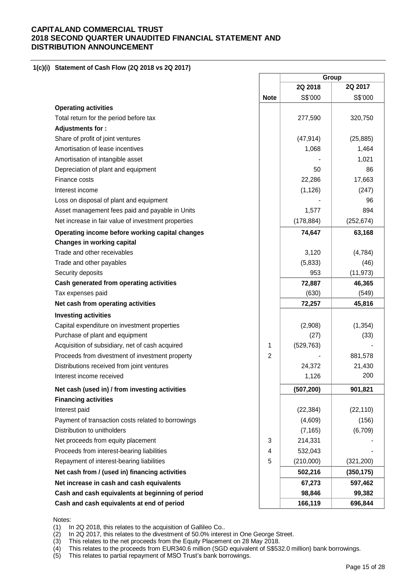## **1(c)(i) Statement of Cash Flow (2Q 2018 vs 2Q 2017)**

|                                                     |                | Group      |            |
|-----------------------------------------------------|----------------|------------|------------|
|                                                     |                | 2Q 2018    | 2Q 2017    |
|                                                     | <b>Note</b>    | S\$'000    | S\$'000    |
| <b>Operating activities</b>                         |                |            |            |
| Total return for the period before tax              |                | 277,590    | 320,750    |
| Adjustments for :                                   |                |            |            |
| Share of profit of joint ventures                   |                | (47, 914)  | (25, 885)  |
| Amortisation of lease incentives                    |                | 1,068      | 1,464      |
| Amortisation of intangible asset                    |                |            | 1,021      |
| Depreciation of plant and equipment                 |                | 50         | 86         |
| Finance costs                                       |                | 22,286     | 17,663     |
| Interest income                                     |                | (1, 126)   | (247)      |
| Loss on disposal of plant and equipment             |                |            | 96         |
| Asset management fees paid and payable in Units     |                | 1,577      | 894        |
| Net increase in fair value of investment properties |                | (178, 884) | (252, 674) |
| Operating income before working capital changes     |                | 74,647     | 63,168     |
| <b>Changes in working capital</b>                   |                |            |            |
| Trade and other receivables                         |                | 3,120      | (4, 784)   |
| Trade and other payables                            |                | (5,833)    | (46)       |
| Security deposits                                   |                | 953        | (11, 973)  |
| Cash generated from operating activities            |                | 72,887     | 46,365     |
| Tax expenses paid                                   |                | (630)      | (549)      |
| Net cash from operating activities                  |                | 72,257     | 45,816     |
| <b>Investing activities</b>                         |                |            |            |
| Capital expenditure on investment properties        |                | (2,908)    | (1, 354)   |
| Purchase of plant and equipment                     |                | (27)       | (33)       |
| Acquisition of subsidiary, net of cash acquired     | 1              | (529, 763) |            |
| Proceeds from divestment of investment property     | $\overline{2}$ |            | 881,578    |
| Distributions received from joint ventures          |                | 24,372     | 21,430     |
| Interest income received                            |                | 1,126      | 200        |
| Net cash (used in) / from investing activities      |                | (507, 200) | 901,821    |
| <b>Financing activities</b>                         |                |            |            |
| Interest paid                                       |                | (22, 384)  | (22, 110)  |
| Payment of transaction costs related to borrowings  |                | (4,609)    | (156)      |
| Distribution to unitholders                         |                | (7, 165)   | (6,709)    |
| Net proceeds from equity placement                  | 3              | 214,331    |            |
| Proceeds from interest-bearing liabilities          | 4              | 532,043    |            |
| Repayment of interest-bearing liabilities           | 5              | (210,000)  | (321, 200) |
| Net cash from / (used in) financing activities      |                | 502,216    | (350, 175) |
| Net increase in cash and cash equivalents           |                | 67,273     | 597,462    |
| Cash and cash equivalents at beginning of period    |                | 98,846     | 99,382     |
| Cash and cash equivalents at end of period          |                | 166,119    | 696,844    |
|                                                     |                |            |            |

#### Notes:

(1) In 2Q 2018, this relates to the acquisition of Gallileo Co..

(2) In 2Q 2017, this relates to the divestment of 50.0% interest in One George Street.

(3) This relates to the net proceeds from the Equity Placement on 28 May 2018.<br>(4) This relates to the proceeds from EUR340.6 million (SGD equivalent of S\$53

This relates to the proceeds from EUR340.6 million (SGD equivalent of S\$532.0 million) bank borrowings.

(5) This relates to partial repayment of MSO Trust's bank borrowings.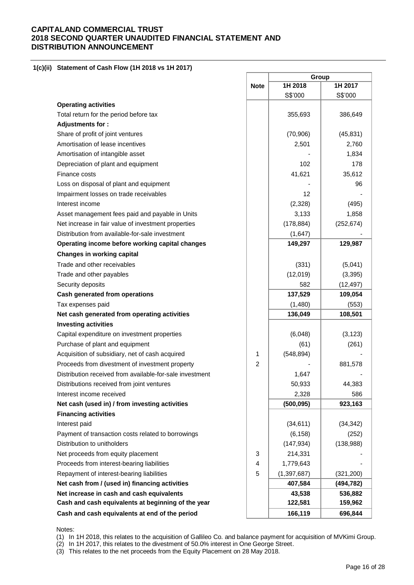### **1(c)(ii) Statement of Cash Flow (1H 2018 vs 1H 2017)**

|                                                          |                | Group         |            |
|----------------------------------------------------------|----------------|---------------|------------|
|                                                          | <b>Note</b>    | 1H 2018       | 1H 2017    |
|                                                          |                | S\$'000       | S\$'000    |
| <b>Operating activities</b>                              |                |               |            |
| Total return for the period before tax                   |                | 355,693       | 386,649    |
| Adjustments for:                                         |                |               |            |
| Share of profit of joint ventures                        |                | (70, 906)     | (45, 831)  |
| Amortisation of lease incentives                         |                | 2,501         | 2,760      |
| Amortisation of intangible asset                         |                |               | 1,834      |
| Depreciation of plant and equipment                      |                | 102           | 178        |
| Finance costs                                            |                | 41,621        | 35,612     |
| Loss on disposal of plant and equipment                  |                |               | 96         |
| Impairment losses on trade receivables                   |                | 12            |            |
| Interest income                                          |                | (2,328)       | (495)      |
| Asset management fees paid and payable in Units          |                | 3,133         | 1,858      |
| Net increase in fair value of investment properties      |                | (178, 884)    | (252, 674) |
| Distribution from available-for-sale investment          |                | (1,647)       |            |
| Operating income before working capital changes          |                | 149,297       | 129,987    |
| <b>Changes in working capital</b>                        |                |               |            |
| Trade and other receivables                              |                | (331)         | (5,041)    |
| Trade and other payables                                 |                | (12,019)      | (3, 395)   |
| Security deposits                                        |                | 582           | (12, 497)  |
| Cash generated from operations                           |                | 137,529       | 109,054    |
| Tax expenses paid                                        |                | (1,480)       | (553)      |
| Net cash generated from operating activities             |                | 136,049       | 108,501    |
| <b>Investing activities</b>                              |                |               |            |
| Capital expenditure on investment properties             |                | (6,048)       | (3, 123)   |
| Purchase of plant and equipment                          |                | (61)          | (261)      |
| Acquisition of subsidiary, net of cash acquired          | 1              | (548, 894)    |            |
| Proceeds from divestment of investment property          | $\overline{c}$ |               | 881,578    |
| Distribution received from available-for-sale investment |                | 1,647         |            |
| Distributions received from joint ventures               |                | 50,933        | 44,383     |
| Interest income received                                 |                | 2,328         | 586        |
| Net cash (used in) / from investing activities           |                | (500, 095)    | 923,163    |
| <b>Financing activities</b>                              |                |               |            |
| Interest paid                                            |                | (34, 611)     | (34, 342)  |
| Payment of transaction costs related to borrowings       |                | (6, 158)      | (252)      |
| Distribution to unitholders                              |                | (147, 934)    | (138,988)  |
| Net proceeds from equity placement                       | 3              | 214,331       |            |
| Proceeds from interest-bearing liabilities               | 4              | 1,779,643     |            |
| Repayment of interest-bearing liabilities                | 5              | (1, 397, 687) | (321, 200) |
| Net cash from / (used in) financing activities           |                | 407,584       | (494, 782) |
| Net increase in cash and cash equivalents                |                | 43,538        | 536,882    |
| Cash and cash equivalents at beginning of the year       |                | 122,581       | 159,962    |
| Cash and cash equivalents at end of the period           |                | 166,119       | 696,844    |

 $\overline{\phantom{a}}$ 

÷

٦

Notes:

(1) In 1H 2018, this relates to the acquisition of Gallileo Co. and balance payment for acquisition of MVKimi Group.

(2) In 1H 2017, this relates to the divestment of 50.0% interest in One George Street.

(3) This relates to the net proceeds from the Equity Placement on 28 May 2018.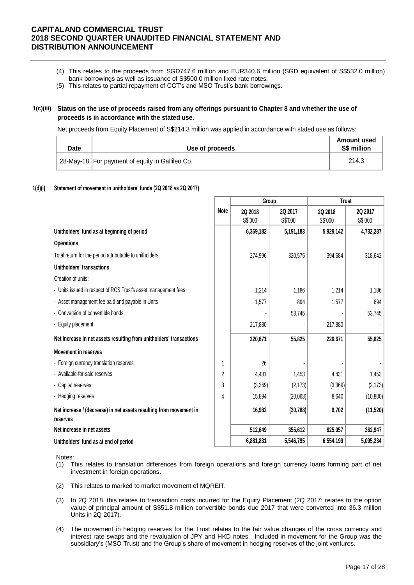- (4) This relates to the proceeds from SGD747.6 million and EUR340.6 million (SGD equivalent of S\$532.0 million) bank borrowings as well as issuance of S\$500.0 million fixed rate notes.
- (5) This relates to partial repayment of CCT's and MSO Trust's bank borrowings.

## **1(c)(iii) Status on the use of proceeds raised from any offerings pursuant to Chapter 8 and whether the use of proceeds is in accordance with the stated use.**

Net proceeds from Equity Placement of S\$214.3 million was applied in accordance with stated use as follows:

| <b>Date</b> | Use of proceeds                                   | <b>Amount used</b><br><b>S\$ million</b> |
|-------------|---------------------------------------------------|------------------------------------------|
|             | 28-May-18   For payment of equity in Gallileo Co. | 214.3                                    |

### **1(d)(i) Statement of movement in unitholders' funds (2Q 2018 vs 2Q 2017)**

|                                                                                |             | Group     |           | <b>Trust</b> |           |
|--------------------------------------------------------------------------------|-------------|-----------|-----------|--------------|-----------|
|                                                                                | <b>Note</b> | 2Q 2018   | 2Q 2017   | 2Q 2018      | 2Q 2017   |
|                                                                                |             | S\$'000   | S\$'000   | S\$'000      | S\$'000   |
| Unitholders' fund as at beginning of period                                    |             | 6,369,182 | 5,191,183 | 5,929,142    | 4,732,287 |
| <b>Operations</b>                                                              |             |           |           |              |           |
| Total return for the period attributable to unitholders                        |             | 274,996   | 320,575   | 394,684      | 318,642   |
| <b>Unitholders' transactions</b>                                               |             |           |           |              |           |
| Creation of units:                                                             |             |           |           |              |           |
| - Units issued in respect of RCS Trust's asset management fees                 |             | 1,214     | 1,186     | 1,214        | 1,186     |
| - Asset management fee paid and payable in Units                               |             | 1,577     | 894       | 1,577        | 894       |
| - Conversion of convertible bonds                                              |             |           | 53,745    |              | 53,745    |
| - Equity placement                                                             |             | 217,880   |           | 217,880      |           |
| Net increase in net assets resulting from unitholders' transactions            |             | 220,671   | 55,825    | 220,671      | 55,825    |
| <b>Movement in reserves</b>                                                    |             |           |           |              |           |
| - Foreign currency translation reserves                                        | 1           | 26        |           |              |           |
| - Available-for-sale reserves                                                  | 2           | 4,431     | 1,453     | 4,431        | 1,453     |
| - Capital reserves                                                             | 3           | (3,369)   | (2, 173)  | (3,369)      | (2, 173)  |
| - Hedging reserves                                                             | 4           | 15,894    | (20,068)  | 8,640        | (10, 800) |
| Net increase / (decrease) in net assets resulting from movement in<br>reserves |             | 16,982    | (20, 788) | 9,702        | (11,520)  |
| Net increase in net assets                                                     |             | 512,649   | 355,612   | 625,057      | 362,947   |
| Unitholders' fund as at end of period                                          |             | 6,881,831 | 5,546,795 | 6,554,199    | 5,095,234 |

- (1) This relates to translation differences from foreign operations and foreign currency loans forming part of net investment in foreign operations.
- (2) This relates to marked to market movement of MQREIT.
- (3) In 2Q 2018, this relates to transaction costs incurred for the Equity Placement (2Q 2017: relates to the option value of principal amount of S\$51.8 million convertible bonds due 2017 that were converted into 36.3 million Units in 2Q 2017).
- (4) The movement in hedging reserves for the Trust relates to the fair value changes of the cross currency and interest rate swaps and the revaluation of JPY and HKD notes. Included in movement for the Group was the subsidiary's (MSO Trust) and the Group's share of movement in hedging reserves of the joint ventures.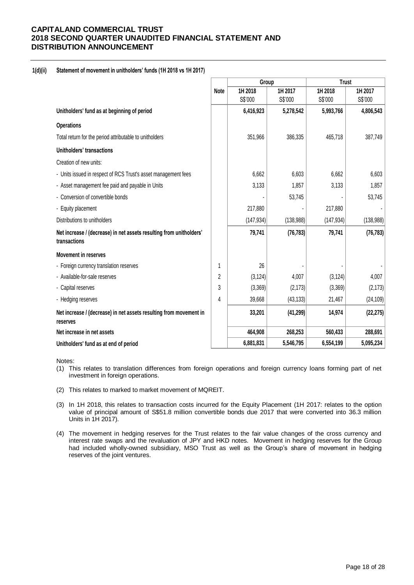## **1(d)(ii) Statement of movement in unitholders' funds (1H 2018 vs 1H 2017)**

|                                                                                     |                | Group      |           | <b>Trust</b> |            |
|-------------------------------------------------------------------------------------|----------------|------------|-----------|--------------|------------|
|                                                                                     | <b>Note</b>    | 1H 2018    | 1H 2017   | 1H 2018      | 1H 2017    |
|                                                                                     |                | S\$'000    | S\$'000   | S\$'000      | S\$'000    |
| Unitholders' fund as at beginning of period                                         |                | 6,416,923  | 5,278,542 | 5,993,766    | 4,806,543  |
| <b>Operations</b>                                                                   |                |            |           |              |            |
| Total return for the period attributable to unitholders                             |                | 351,966    | 386,335   | 465,718      | 387,749    |
| Unitholders' transactions                                                           |                |            |           |              |            |
| Creation of new units:                                                              |                |            |           |              |            |
| - Units issued in respect of RCS Trust's asset management fees                      |                | 6,662      | 6,603     | 6,662        | 6,603      |
| - Asset management fee paid and payable in Units                                    |                | 3,133      | 1,857     | 3,133        | 1,857      |
| - Conversion of convertible bonds                                                   |                |            | 53,745    |              | 53,745     |
| - Equity placement                                                                  |                | 217,880    |           | 217,880      |            |
| Distributions to unitholders                                                        |                | (147, 934) | (138,988) | (147, 934)   | (138, 988) |
| Net increase / (decrease) in net assets resulting from unitholders'<br>transactions |                | 79,741     | (76, 783) | 79,741       | (76, 783)  |
| <b>Movement in reserves</b>                                                         |                |            |           |              |            |
| - Foreign currency translation reserves                                             | 1              | 26         |           |              |            |
| - Available-for-sale reserves                                                       | $\overline{2}$ | (3, 124)   | 4,007     | (3, 124)     | 4,007      |
| - Capital reserves                                                                  | 3              | (3,369)    | (2, 173)  | (3,369)      | (2, 173)   |
| - Hedging reserves                                                                  | 4              | 39,668     | (43, 133) | 21,467       | (24, 109)  |
| Net increase / (decrease) in net assets resulting from movement in<br>reserves      |                | 33,201     | (41, 299) | 14,974       | (22, 275)  |
| Net increase in net assets                                                          |                | 464,908    | 268,253   | 560,433      | 288,691    |
| Unitholders' fund as at end of period                                               |                | 6,881,831  | 5,546,795 | 6,554,199    | 5,095,234  |

- (1) This relates to translation differences from foreign operations and foreign currency loans forming part of net investment in foreign operations.
- (2) This relates to marked to market movement of MQREIT.
- (3) In 1H 2018, this relates to transaction costs incurred for the Equity Placement (1H 2017: relates to the option value of principal amount of S\$51.8 million convertible bonds due 2017 that were converted into 36.3 million Units in 1H 2017).
- (4) The movement in hedging reserves for the Trust relates to the fair value changes of the cross currency and interest rate swaps and the revaluation of JPY and HKD notes. Movement in hedging reserves for the Group had included wholly-owned subsidiary, MSO Trust as well as the Group's share of movement in hedging reserves of the joint ventures.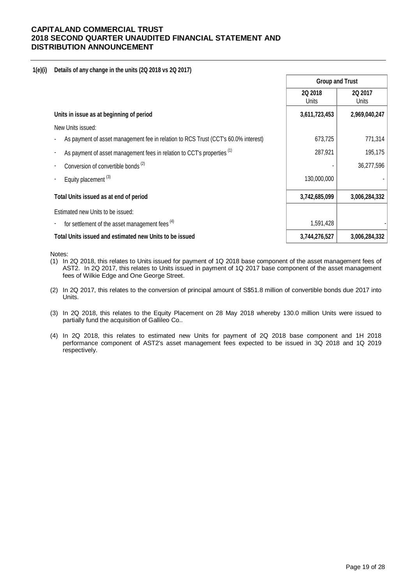### **1(e)(i) Details of any change in the units (2Q 2018 vs 2Q 2017)**

|                                                                                    | <b>Group and Trust</b>  |                         |  |
|------------------------------------------------------------------------------------|-------------------------|-------------------------|--|
|                                                                                    | <b>2Q 2018</b><br>Units | 2Q 2017<br><b>Units</b> |  |
| Units in issue as at beginning of period                                           | 3,611,723,453           | 2,969,040,247           |  |
| New Units issued:                                                                  |                         |                         |  |
| As payment of asset management fee in relation to RCS Trust (CCT's 60.0% interest) | 673,725                 | 771,314                 |  |
| As payment of asset management fees in relation to CCT's properties <sup>(1)</sup> | 287,921                 | 195,175                 |  |
| Conversion of convertible bonds <sup>(2)</sup>                                     |                         | 36,277,596              |  |
| Equity placement <sup>(3)</sup>                                                    | 130,000,000             |                         |  |
| Total Units issued as at end of period                                             | 3,742,685,099           | 3,006,284,332           |  |
| Estimated new Units to be issued:                                                  |                         |                         |  |
| for settlement of the asset management fees <sup>(4)</sup>                         | 1,591,428               |                         |  |
| Total Units issued and estimated new Units to be issued                            | 3,744,276,527           | 3,006,284,332           |  |

- (1) In 2Q 2018, this relates to Units issued for payment of 1Q 2018 base component of the asset management fees of AST2. In 2Q 2017, this relates to Units issued in payment of 1Q 2017 base component of the asset management fees of Wilkie Edge and One George Street.
- (2) In 2Q 2017, this relates to the conversion of principal amount of S\$51.8 million of convertible bonds due 2017 into Units.
- (3) In 2Q 2018, this relates to the Equity Placement on 28 May 2018 whereby 130.0 million Units were issued to partially fund the acquisition of Gallileo Co..
- (4) In 2Q 2018, this relates to estimated new Units for payment of 2Q 2018 base component and 1H 2018 performance component of AST2's asset management fees expected to be issued in 3Q 2018 and 1Q 2019 respectively.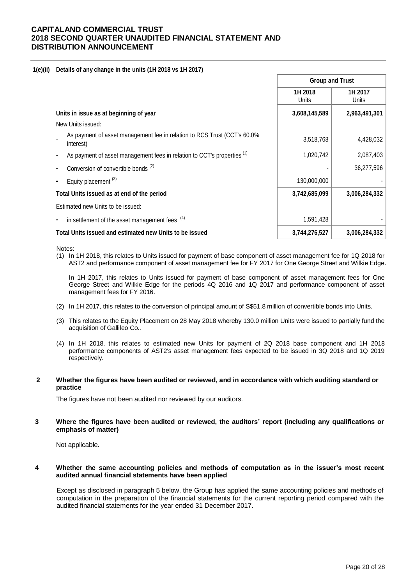### **1(e)(ii) Details of any change in the units (1H 2018 vs 1H 2017)**

|                                                                                       | <b>Group and Trust</b> |                  |  |
|---------------------------------------------------------------------------------------|------------------------|------------------|--|
|                                                                                       | 1H 2018<br>Units       | 1H 2017<br>Units |  |
| Units in issue as at beginning of year                                                | 3,608,145,589          | 2,963,491,301    |  |
| New Units issued:                                                                     |                        |                  |  |
| As payment of asset management fee in relation to RCS Trust (CCT's 60.0%<br>interest) | 3,518,768              | 4,428,032        |  |
| As payment of asset management fees in relation to CCT's properties <sup>(1)</sup>    | 1,020,742              | 2,087,403        |  |
| Conversion of convertible bonds <sup>(2)</sup>                                        |                        | 36,277,596       |  |
| Equity placement <sup>(3)</sup>                                                       | 130,000,000            |                  |  |
| Total Units issued as at end of the period                                            | 3,742,685,099          | 3,006,284,332    |  |
| Estimated new Units to be issued:                                                     |                        |                  |  |
| in settlement of the asset management fees (4)<br>٠                                   | 1,591,428              |                  |  |
| Total Units issued and estimated new Units to be issued                               | 3,744,276,527          | 3,006,284,332    |  |

Notes:

(1) In 1H 2018, this relates to Units issued for payment of base component of asset management fee for 1Q 2018 for AST2 and performance component of asset management fee for FY 2017 for One George Street and Wilkie Edge.

In 1H 2017, this relates to Units issued for payment of base component of asset management fees for One George Street and Wilkie Edge for the periods 4Q 2016 and 1Q 2017 and performance component of asset management fees for FY 2016.

- (2) In 1H 2017, this relates to the conversion of principal amount of S\$51.8 million of convertible bonds into Units.
- (3) This relates to the Equity Placement on 28 May 2018 whereby 130.0 million Units were issued to partially fund the acquisition of Gallileo Co..
- (4) In 1H 2018, this relates to estimated new Units for payment of 2Q 2018 base component and 1H 2018 performance components of AST2's asset management fees expected to be issued in 3Q 2018 and 1Q 2019 respectively.

### **2 Whether the figures have been audited or reviewed, and in accordance with which auditing standard or practice**

The figures have not been audited nor reviewed by our auditors.

### **3 Where the figures have been audited or reviewed, the auditors' report (including any qualifications or emphasis of matter)**

Not applicable.

### **4 Whether the same accounting policies and methods of computation as in the issuer's most recent audited annual financial statements have been applied**

Except as disclosed in paragraph 5 below, the Group has applied the same accounting policies and methods of computation in the preparation of the financial statements for the current reporting period compared with the audited financial statements for the year ended 31 December 2017.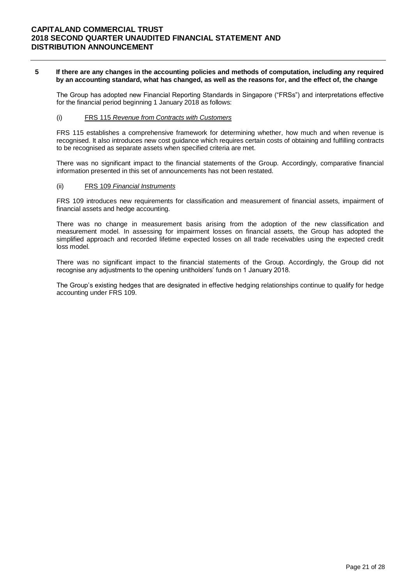#### **5 If there are any changes in the accounting policies and methods of computation, including any required by an accounting standard, what has changed, as well as the reasons for, and the effect of, the change**

The Group has adopted new Financial Reporting Standards in Singapore ("FRSs") and interpretations effective for the financial period beginning 1 January 2018 as follows:

## (i) FRS 115 *Revenue from Contracts with Customers*

FRS 115 establishes a comprehensive framework for determining whether, how much and when revenue is recognised. It also introduces new cost guidance which requires certain costs of obtaining and fulfilling contracts to be recognised as separate assets when specified criteria are met.

There was no significant impact to the financial statements of the Group. Accordingly, comparative financial information presented in this set of announcements has not been restated.

### (ii) FRS 109 *Financial Instruments*

FRS 109 introduces new requirements for classification and measurement of financial assets, impairment of financial assets and hedge accounting.

There was no change in measurement basis arising from the adoption of the new classification and measurement model. In assessing for impairment losses on financial assets, the Group has adopted the simplified approach and recorded lifetime expected losses on all trade receivables using the expected credit loss model.

There was no significant impact to the financial statements of the Group. Accordingly, the Group did not recognise any adjustments to the opening unitholders' funds on 1 January 2018.

The Group's existing hedges that are designated in effective hedging relationships continue to qualify for hedge accounting under FRS 109.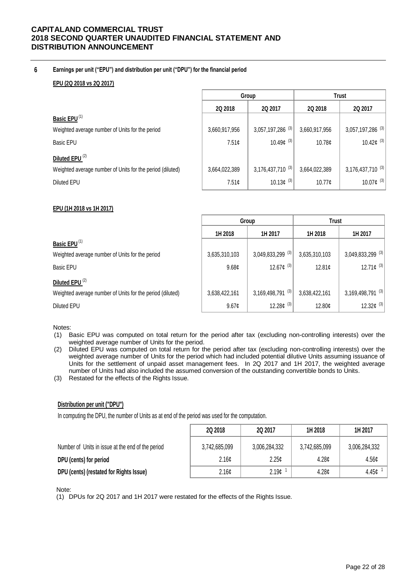## **6 Earnings per unit ("EPU") and distribution per unit ("DPU") for the financial period**

## **EPU (2Q 2018 vs 2Q 2017)**

|                                                           |               | Group                               | <b>Trust</b>       |                                |  |
|-----------------------------------------------------------|---------------|-------------------------------------|--------------------|--------------------------------|--|
|                                                           | 2Q 2018       | 2Q 2017                             | 2Q 2018            | 2Q 2017                        |  |
| Basic EPU <sup>(1)</sup>                                  |               |                                     |                    |                                |  |
| Weighted average number of Units for the period           | 3,660,917,956 | 3,057,197,286 (3)                   | 3,660,917,956      | $3,057,197,286$ <sup>(3)</sup> |  |
| <b>Basic EPU</b>                                          | 7.51¢         | 10.49 $\mathfrak{c}$ <sup>(3)</sup> | 10.78c             | 10.42¢ $(3)$                   |  |
| Diluted EPU <sup>(2)</sup>                                |               |                                     |                    |                                |  |
| Weighted average number of Units for the period (diluted) | 3,664,022,389 | 3,176,437,710 (3)                   | 3,664,022,389      | $3,176,437,710^{(3)}$          |  |
| Diluted EPU                                               | 7.51¢         | 10.13 $¢$ <sup>(3)</sup>            | $10.77\mathcal{C}$ | 10.07¢ (3)                     |  |
|                                                           |               |                                     |                    |                                |  |

## **EPU (1H 2018 vs 1H 2017)**

|                                                           |                   | Group                          | Trust              |                                |
|-----------------------------------------------------------|-------------------|--------------------------------|--------------------|--------------------------------|
|                                                           | 1H 2018           | 1H 2017                        | 1H 2018            | 1H 2017                        |
| Basic EPU <sup>(1)</sup>                                  |                   |                                |                    |                                |
| Weighted average number of Units for the period           | 3,635,310,103     | $3,049,833,299$ <sup>(3)</sup> | 3,635,310,103      | $3,049,833,299$ <sup>(3)</sup> |
| <b>Basic EPU</b>                                          | 9.68 <sub>¢</sub> | 12.67¢ $(3)$                   | 12.81 <sub>¢</sub> | 12.71¢ $(3)$                   |
| Diluted EPU <sup>(2)</sup>                                |                   |                                |                    |                                |
| Weighted average number of Units for the period (diluted) | 3,638,422,161     | (3)<br>3,169,498,791           | 3,638,422,161      | $3,169,498,791$ <sup>(3)</sup> |
| <b>Diluted EPU</b>                                        | 9.67c             | 12.28 $t^{(3)}$                | 12.80¢             | 12.32 $\mathfrak{c}^{(3)}$     |

### Notes:

- (1) Basic EPU was computed on total return for the period after tax (excluding non-controlling interests) over the weighted average number of Units for the period.
- (2) Diluted EPU was computed on total return for the period after tax (excluding non-controlling interests) over the weighted average number of Units for the period which had included potential dilutive Units assuming issuance of Units for the settlement of unpaid asset management fees. In 2Q 2017 and 1H 2017, the weighted average number of Units had also included the assumed conversion of the outstanding convertible bonds to Units.
- (3) Restated for the effects of the Rights Issue.

## **Distribution per unit ("DPU")**

In computing the DPU, the number of Units as at end of the period was used for the computation.

|                                                   | <b>2Q 2018</b>    | 20 2017           | 1H 2018           | 1H 2017       |
|---------------------------------------------------|-------------------|-------------------|-------------------|---------------|
| Number of Units in issue at the end of the period | 3,742,685,099     | 3,006,284,332     | 3,742,685,099     | 3,006,284,332 |
| DPU (cents) for period                            | 2.16 <sub>c</sub> | 2.25c             | 4.28c             | 4.56c         |
| DPU (cents) (restated for Rights Issue)           | 2.16 <sub>c</sub> | 2.19 <sub>0</sub> | 4.28 <sub>c</sub> | 4.45¢         |

Note:

(1) DPUs for 2Q 2017 and 1H 2017 were restated for the effects of the Rights Issue.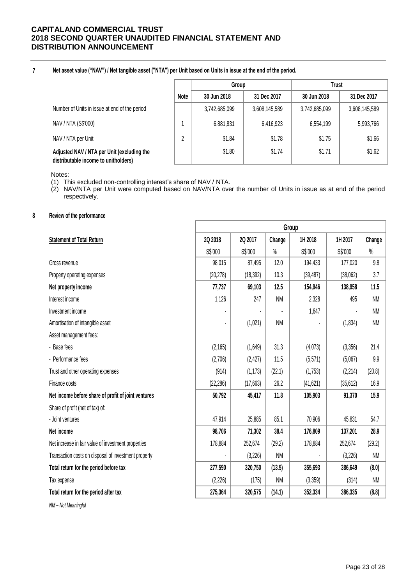**7**

**Net asset value ("NAV") / Net tangible asset ("NTA") per Unit based on Units in issue at the end of the period.**

|                                                                                    |             | Group         |               | Trust         |               |  |
|------------------------------------------------------------------------------------|-------------|---------------|---------------|---------------|---------------|--|
|                                                                                    | <b>Note</b> | 30 Jun 2018   | 31 Dec 2017   | 30 Jun 2018   | 31 Dec 2017   |  |
| Number of Units in issue at end of the period                                      |             | 3,742,685,099 | 3,608,145,589 | 3,742,685,099 | 3,608,145,589 |  |
| NAV / NTA (S\$'000)                                                                |             | 6,881,831     | 6,416,923     | 6,554,199     | 5,993,766     |  |
| NAV / NTA per Unit                                                                 | C           | \$1.84        | \$1.78        | \$1.75        | \$1.66        |  |
| Adjusted NAV / NTA per Unit (excluding the<br>distributable income to unitholders) |             | \$1.80        | \$1.74        | \$1.71        | \$1.62        |  |

Notes:

(1) This excluded non-controlling interest's share of NAV / NTA.

(2) NAV/NTA per Unit were computed based on NAV/NTA over the number of Units in issue as at end of the period respectively.

## **8 Review of the performance**

|                                                      | Group     |           |           |           |           |           |
|------------------------------------------------------|-----------|-----------|-----------|-----------|-----------|-----------|
| <b>Statement of Total Return</b>                     | 2Q 2018   | 2Q 2017   | Change    | 1H 2018   | 1H 2017   | Change    |
|                                                      | S\$'000   | S\$'000   | $\%$      | S\$'000   | S\$'000   | $\%$      |
| Gross revenue                                        | 98,015    | 87,495    | 12.0      | 194,433   | 177,020   | 9.8       |
| Property operating expenses                          | (20, 278) | (18, 392) | 10.3      | (39, 487) | (38,062)  | 3.7       |
| Net property income                                  | 77,737    | 69,103    | 12.5      | 154,946   | 138,958   | 11.5      |
| Interest income                                      | 1,126     | 247       | <b>NM</b> | 2,328     | 495       | <b>NM</b> |
| Investment income                                    |           |           |           | 1,647     |           | <b>NM</b> |
| Amortisation of intangible asset                     |           | (1,021)   | <b>NM</b> |           | (1, 834)  | <b>NM</b> |
| Asset management fees:                               |           |           |           |           |           |           |
| - Base fees                                          | (2, 165)  | (1,649)   | 31.3      | (4,073)   | (3,356)   | 21.4      |
| - Performance fees                                   | (2,706)   | (2, 427)  | 11.5      | (5,571)   | (5,067)   | 9.9       |
| Trust and other operating expenses                   | (914)     | (1, 173)  | (22.1)    | (1,753)   | (2,214)   | (20.8)    |
| Finance costs                                        | (22, 286) | (17,663)  | 26.2      | (41, 621) | (35, 612) | 16.9      |
| Net income before share of profit of joint ventures  | 50,792    | 45,417    | 11.8      | 105,903   | 91,370    | 15.9      |
| Share of profit (net of tax) of:                     |           |           |           |           |           |           |
| - Joint ventures                                     | 47,914    | 25,885    | 85.1      | 70,906    | 45,831    | 54.7      |
| Net income                                           | 98,706    | 71,302    | 38.4      | 176,809   | 137,201   | 28.9      |
| Net increase in fair value of investment properties  | 178,884   | 252,674   | (29.2)    | 178,884   | 252,674   | (29.2)    |
| Transaction costs on disposal of investment property |           | (3,226)   | <b>NM</b> |           | (3,226)   | <b>NM</b> |
| Total return for the period before tax               | 277,590   | 320,750   | (13.5)    | 355,693   | 386,649   | (8.0)     |
| Tax expense                                          | (2,226)   | (175)     | <b>NM</b> | (3,359)   | (314)     | <b>NM</b> |
| Total return for the period after tax                | 275,364   | 320,575   | (14.1)    | 352,334   | 386,335   | (8.8)     |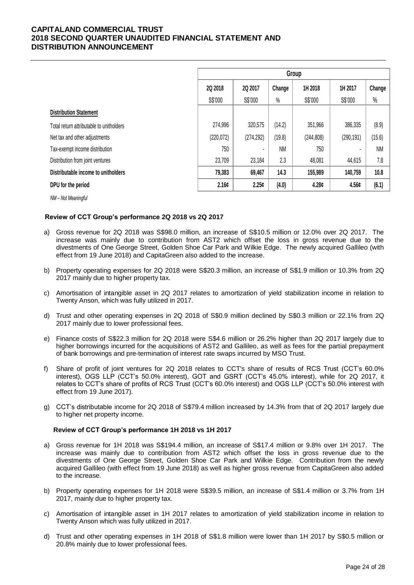|                                          | Group      |            |           |            |            |           |
|------------------------------------------|------------|------------|-----------|------------|------------|-----------|
|                                          | 2Q 2018    | 20 2017    | Change    | 1H 2018    | 1H 2017    | Change    |
|                                          | S\$'000    | S\$'000    | $\%$      | S\$'000    | S\$'000    | $\%$      |
| <b>Distribution Statement</b>            |            |            |           |            |            |           |
| Total return attributable to unitholders | 274,996    | 320,575    | (14.2)    | 351,966    | 386,335    | (8.9)     |
| Net tax and other adjustments            | (220, 072) | (274, 292) | (19.8)    | (244, 808) | (290, 191) | (15.6)    |
| Tax-exempt income distribution           | 750        | ٠          | <b>NM</b> | 750        |            | <b>NM</b> |
| Distribution from joint ventures         | 23,709     | 23,184     | 2.3       | 48,081     | 44,615     | 7.8       |
| Distributable income to unitholders      | 79,383     | 69,467     | 14.3      | 155,989    | 140,759    | 10.8      |
| DPU for the period                       | 2.16c      | 2.25c      | (4.0)     | 4.28c      | 4.56c      | (6.1)     |

*NM – Not Meaningful*

### **Review of CCT Group's performance 2Q 2018 vs 2Q 2017**

- a) Gross revenue for 2Q 2018 was S\$98.0 million, an increase of S\$10.5 million or 12.0% over 2Q 2017. The increase was mainly due to contribution from AST2 which offset the loss in gross revenue due to the divestments of One George Street, Golden Shoe Car Park and Wilkie Edge. The newly acquired Gallileo (with effect from 19 June 2018) and CapitaGreen also added to the increase.
- b) Property operating expenses for 2Q 2018 were S\$20.3 million, an increase of S\$1.9 million or 10.3% from 2Q 2017 mainly due to higher property tax.
- c) Amortisation of intangible asset in 2Q 2017 relates to amortization of yield stabilization income in relation to Twenty Anson, which was fully utilized in 2017.
- d) Trust and other operating expenses in 2Q 2018 of S\$0.9 million declined by S\$0.3 million or 22.1% from 2Q 2017 mainly due to lower professional fees.
- e) Finance costs of S\$22.3 million for 2Q 2018 were S\$4.6 million or 26.2% higher than 2Q 2017 largely due to higher borrowings incurred for the acquisitions of AST2 and Gallileo, as well as fees for the partial prepayment of bank borrowings and pre-termination of interest rate swaps incurred by MSO Trust.
- f) Share of profit of joint ventures for 2Q 2018 relates to CCT's share of results of RCS Trust (CCT's 60.0% interest), OGS LLP (CCT's 50.0% interest), GOT and GSRT (CCT's 45.0% interest), while for 2Q 2017, it relates to CCT's share of profits of RCS Trust (CCT's 60.0% interest) and OGS LLP (CCT's 50.0% interest with effect from 19 June 2017).
- g) CCT's distributable income for 2Q 2018 of S\$79.4 million increased by 14.3% from that of 2Q 2017 largely due to higher net property income.

### **Review of CCT Group's performance 1H 2018 vs 1H 2017**

- a) Gross revenue for 1H 2018 was S\$194.4 million, an increase of S\$17.4 million or 9.8% over 1H 2017. The increase was mainly due to contribution from AST2 which offset the loss in gross revenue due to the divestments of One George Street, Golden Shoe Car Park and Wilkie Edge. Contribution from the newly acquired Gallileo (with effect from 19 June 2018) as well as higher gross revenue from CapitaGreen also added to the increase.
- b) Property operating expenses for 1H 2018 were S\$39.5 million, an increase of S\$1.4 million or 3.7% from 1H 2017, mainly due to higher property tax.
- c) Amortisation of intangible asset in 1H 2017 relates to amortization of yield stabilization income in relation to Twenty Anson which was fully utilized in 2017.
- d) Trust and other operating expenses in 1H 2018 of S\$1.8 million were lower than 1H 2017 by S\$0.5 million or 20.8% mainly due to lower professional fees.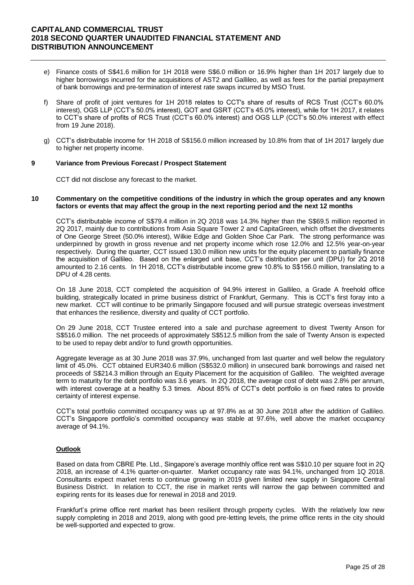- e) Finance costs of S\$41.6 million for 1H 2018 were S\$6.0 million or 16.9% higher than 1H 2017 largely due to higher borrowings incurred for the acquisitions of AST2 and Gallileo, as well as fees for the partial prepayment of bank borrowings and pre-termination of interest rate swaps incurred by MSO Trust.
- f) Share of profit of joint ventures for 1H 2018 relates to CCT's share of results of RCS Trust (CCT's 60.0% interest), OGS LLP (CCT's 50.0% interest), GOT and GSRT (CCT's 45.0% interest), while for 1H 2017, it relates to CCT's share of profits of RCS Trust (CCT's 60.0% interest) and OGS LLP (CCT's 50.0% interest with effect from 19 June 2018).
- g) CCT's distributable income for 1H 2018 of S\$156.0 million increased by 10.8% from that of 1H 2017 largely due to higher net property income.

### **9 Variance from Previous Forecast / Prospect Statement**

CCT did not disclose any forecast to the market.

#### **10 Commentary on the competitive conditions of the industry in which the group operates and any known factors or events that may affect the group in the next reporting period and the next 12 months**

CCT's distributable income of S\$79.4 million in 2Q 2018 was 14.3% higher than the S\$69.5 million reported in 2Q 2017, mainly due to contributions from Asia Square Tower 2 and CapitaGreen, which offset the divestments of One George Street (50.0% interest), Wilkie Edge and Golden Shoe Car Park. The strong performance was underpinned by growth in gross revenue and net property income which rose 12.0% and 12.5% year-on-year respectively. During the quarter, CCT issued 130.0 million new units for the equity placement to partially finance the acquisition of Gallileo. Based on the enlarged unit base, CCT's distribution per unit (DPU) for 2Q 2018 amounted to 2.16 cents. In 1H 2018, CCT's distributable income grew 10.8% to S\$156.0 million, translating to a DPU of 4.28 cents.

On 18 June 2018, CCT completed the acquisition of 94.9% interest in Gallileo, a Grade A freehold office building, strategically located in prime business district of Frankfurt, Germany. This is CCT's first foray into a new market. CCT will continue to be primarily Singapore focused and will pursue strategic overseas investment that enhances the resilience, diversity and quality of CCT portfolio.

On 29 June 2018, CCT Trustee entered into a sale and purchase agreement to divest Twenty Anson for S\$516.0 million. The net proceeds of approximately S\$512.5 million from the sale of Twenty Anson is expected to be used to repay debt and/or to fund growth opportunities.

Aggregate leverage as at 30 June 2018 was 37.9%, unchanged from last quarter and well below the regulatory limit of 45.0%. CCT obtained EUR340.6 million (S\$532.0 million) in unsecured bank borrowings and raised net proceeds of S\$214.3 million through an Equity Placement for the acquisition of Gallileo. The weighted average term to maturity for the debt portfolio was 3.6 years. In 2Q 2018, the average cost of debt was 2.8% per annum, with interest coverage at a healthy 5.3 times. About 85% of CCT's debt portfolio is on fixed rates to provide certainty of interest expense.

CCT's total portfolio committed occupancy was up at 97.8% as at 30 June 2018 after the addition of Gallileo. CCT's Singapore portfolio's committed occupancy was stable at 97.6%, well above the market occupancy average of 94.1%.

### **Outlook**

Based on data from CBRE Pte. Ltd., Singapore's average monthly office rent was S\$10.10 per square foot in 2Q 2018, an increase of 4.1% quarter-on-quarter. Market occupancy rate was 94.1%, unchanged from 1Q 2018. Consultants expect market rents to continue growing in 2019 given limited new supply in Singapore Central Business District. In relation to CCT, the rise in market rents will narrow the gap between committed and expiring rents for its leases due for renewal in 2018 and 2019.

Frankfurt's prime office rent market has been resilient through property cycles. With the relatively low new supply completing in 2018 and 2019, along with good pre-letting levels, the prime office rents in the city should be well-supported and expected to grow.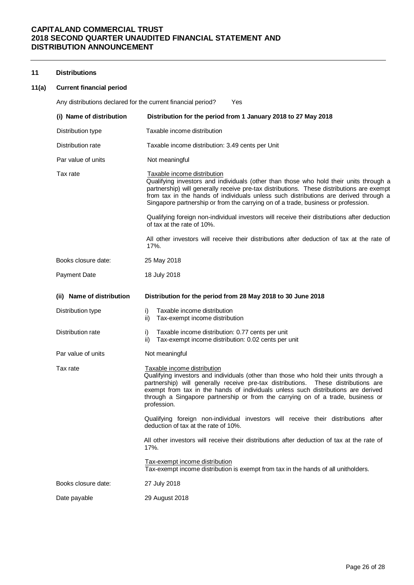### **11 Distributions**

#### **11(a) Current financial period**

Any distributions declared for the current financial period? Yes **(i) Name of distribution Distribution for the period from 1 January 2018 to 27 May 2018** Distribution type Taxable income distribution Distribution rate Taxable income distribution: 3.49 cents per Unit Par value of units Not meaningful Tax rate Taxable income distribution Qualifying investors and individuals (other than those who hold their units through a partnership) will generally receive pre-tax distributions. These distributions are exempt from tax in the hands of individuals unless such distributions are derived through a Singapore partnership or from the carrying on of a trade, business or profession. Qualifying foreign non-individual investors will receive their distributions after deduction of tax at the rate of 10%. All other investors will receive their distributions after deduction of tax at the rate of 17%. Books closure date: 25 May 2018 Payment Date 18 July 2018 **(ii) Name of distribution Distribution for the period from 28 May 2018 to 30 June 2018** Distribution type i) Taxable income distribution ii) Tax-exempt income distribution Distribution rate i) Taxable income distribution: 0.77 cents per unit ii) Tax-exempt income distribution: 0.02 cents per unit Par value of units Not meaningful Tax rate Taxable income distribution Qualifying investors and individuals (other than those who hold their units through a partnership) will generally receive pre-tax distributions. These distributions are exempt from tax in the hands of individuals unless such distributions are derived through a Singapore partnership or from the carrying on of a trade, business or profession. Qualifying foreign non-individual investors will receive their distributions after deduction of tax at the rate of 10%. All other investors will receive their distributions after deduction of tax at the rate of 17%. Tax-exempt income distribution Tax-exempt income distribution is exempt from tax in the hands of all unitholders. Books closure date: 27 July 2018 Date payable 29 August 2018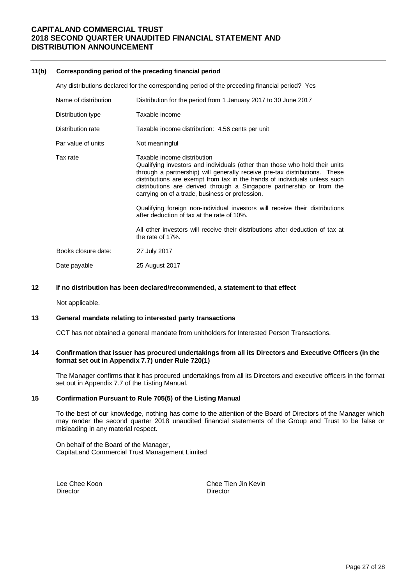#### **11(b) Corresponding period of the preceding financial period**

Any distributions declared for the corresponding period of the preceding financial period? Yes

| Distribution for the period from 1 January 2017 to 30 June 2017                                                                                                                                                                                                                                                                                                                                                                                                                                                                                                                                                                       |
|---------------------------------------------------------------------------------------------------------------------------------------------------------------------------------------------------------------------------------------------------------------------------------------------------------------------------------------------------------------------------------------------------------------------------------------------------------------------------------------------------------------------------------------------------------------------------------------------------------------------------------------|
| Taxable income                                                                                                                                                                                                                                                                                                                                                                                                                                                                                                                                                                                                                        |
| Taxable income distribution: 4.56 cents per unit                                                                                                                                                                                                                                                                                                                                                                                                                                                                                                                                                                                      |
| Not meaningful                                                                                                                                                                                                                                                                                                                                                                                                                                                                                                                                                                                                                        |
| Taxable income distribution<br>Qualifying investors and individuals (other than those who hold their units<br>through a partnership) will generally receive pre-tax distributions. These<br>distributions are exempt from tax in the hands of individuals unless such<br>distributions are derived through a Singapore partnership or from the<br>carrying on of a trade, business or profession.<br>Qualifying foreign non-individual investors will receive their distributions<br>after deduction of tax at the rate of 10%.<br>All other investors will receive their distributions after deduction of tax at<br>the rate of 17%. |
| 27 July 2017                                                                                                                                                                                                                                                                                                                                                                                                                                                                                                                                                                                                                          |
| 25 August 2017                                                                                                                                                                                                                                                                                                                                                                                                                                                                                                                                                                                                                        |
|                                                                                                                                                                                                                                                                                                                                                                                                                                                                                                                                                                                                                                       |

#### **12 If no distribution has been declared/recommended, a statement to that effect**

Not applicable.

### **13 General mandate relating to interested party transactions**

CCT has not obtained a general mandate from unitholders for Interested Person Transactions.

### **14 Confirmation that issuer has procured undertakings from all its Directors and Executive Officers (in the format set out in Appendix 7.7) under Rule 720(1)**

The Manager confirms that it has procured undertakings from all its Directors and executive officers in the format set out in Appendix 7.7 of the Listing Manual.

#### **15 Confirmation Pursuant to Rule 705(5) of the Listing Manual**

To the best of our knowledge, nothing has come to the attention of the Board of Directors of the Manager which may render the second quarter 2018 unaudited financial statements of the Group and Trust to be false or misleading in any material respect.

On behalf of the Board of the Manager, CapitaLand Commercial Trust Management Limited

Director

Lee Chee Koon **Chee Tien Jin Kevin**<br>Director **Chee Tien Jin Kevin**